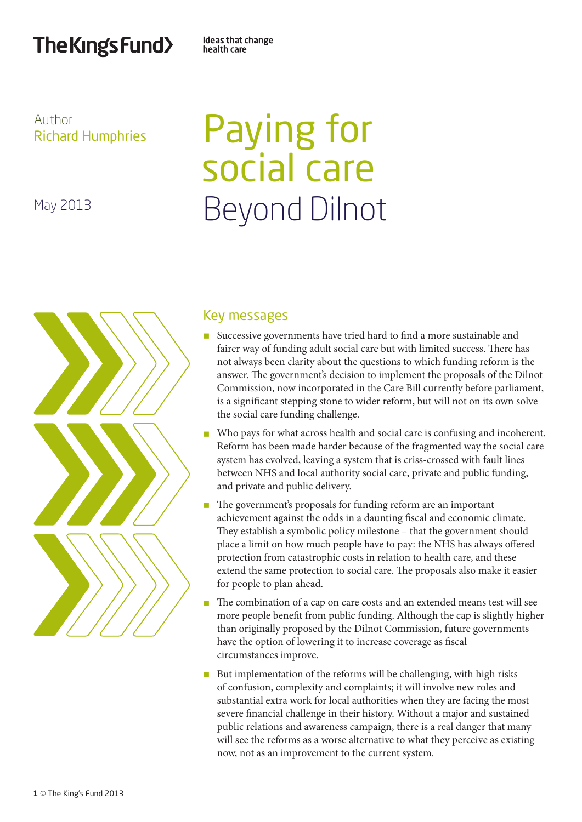# The Kings Fund>

Ideas that change health care

# Author Richard Humphries

May 2013

# Paying for social care Beyond Dilnot



# Key messages

- n Successive governments have tried hard to find a more sustainable and fairer way of funding adult social care but with limited success. There has not always been clarity about the questions to which funding reform is the answer. The government's decision to implement the proposals of the Dilnot Commission, now incorporated in the Care Bill currently before parliament, is a significant stepping stone to wider reform, but will not on its own solve the social care funding challenge.
- n Who pays for what across health and social care is confusing and incoherent. Reform has been made harder because of the fragmented way the social care system has evolved, leaving a system that is criss-crossed with fault lines between NHS and local authority social care, private and public funding, and private and public delivery.
- n The government's proposals for funding reform are an important achievement against the odds in a daunting fiscal and economic climate. They establish a symbolic policy milestone – that the government should place a limit on how much people have to pay: the NHS has always offered protection from catastrophic costs in relation to health care, and these extend the same protection to social care. The proposals also make it easier for people to plan ahead.
- n The combination of a cap on care costs and an extended means test will see more people benefit from public funding. Although the cap is slightly higher than originally proposed by the Dilnot Commission, future governments have the option of lowering it to increase coverage as fiscal circumstances improve.
- $\blacksquare$  But implementation of the reforms will be challenging, with high risks of confusion, complexity and complaints; it will involve new roles and substantial extra work for local authorities when they are facing the most severe financial challenge in their history. Without a major and sustained public relations and awareness campaign, there is a real danger that many will see the reforms as a worse alternative to what they perceive as existing now, not as an improvement to the current system.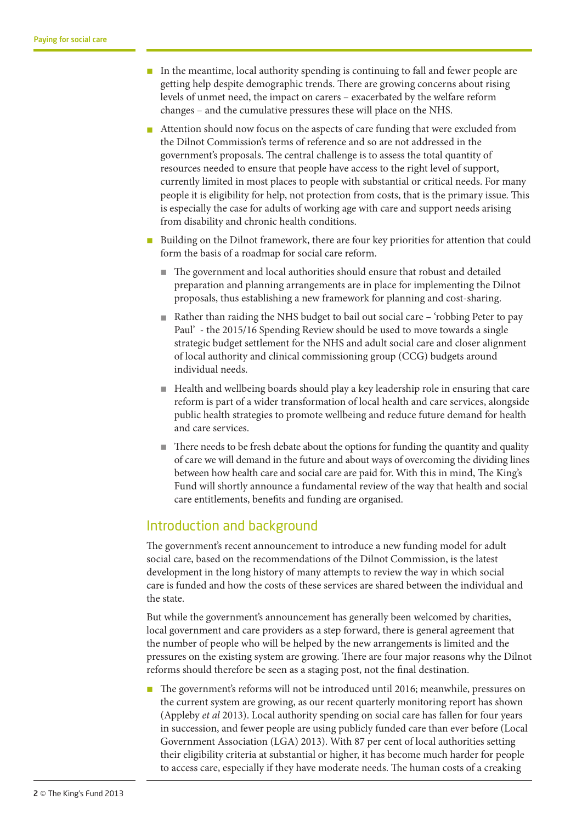- $\blacksquare$  In the meantime, local authority spending is continuing to fall and fewer people are getting help despite demographic trends. There are growing concerns about rising levels of unmet need, the impact on carers – exacerbated by the welfare reform changes – and the cumulative pressures these will place on the NHS.
- n Attention should now focus on the aspects of care funding that were excluded from the Dilnot Commission's terms of reference and so are not addressed in the government's proposals. The central challenge is to assess the total quantity of resources needed to ensure that people have access to the right level of support, currently limited in most places to people with substantial or critical needs. For many people it is eligibility for help, not protection from costs, that is the primary issue. This is especially the case for adults of working age with care and support needs arising from disability and chronic health conditions.
- Building on the Dilnot framework, there are four key priorities for attention that could form the basis of a roadmap for social care reform.
	- n The government and local authorities should ensure that robust and detailed preparation and planning arrangements are in place for implementing the Dilnot proposals, thus establishing a new framework for planning and cost-sharing.
	- Rather than raiding the NHS budget to bail out social care 'robbing Peter to pay Paul' - the 2015/16 Spending Review should be used to move towards a single strategic budget settlement for the NHS and adult social care and closer alignment of local authority and clinical commissioning group (CCG) budgets around individual needs.
	- $\blacksquare$  Health and wellbeing boards should play a key leadership role in ensuring that care reform is part of a wider transformation of local health and care services, alongside public health strategies to promote wellbeing and reduce future demand for health and care services.
	- $\blacksquare$  There needs to be fresh debate about the options for funding the quantity and quality of care we will demand in the future and about ways of overcoming the dividing lines between how health care and social care are paid for. With this in mind, The King's Fund will shortly announce a fundamental review of the way that health and social care entitlements, benefits and funding are organised.

# Introduction and background

The government's recent announcement to introduce a new funding model for adult social care, based on the recommendations of the Dilnot Commission, is the latest development in the long history of many attempts to review the way in which social care is funded and how the costs of these services are shared between the individual and the state.

But while the government's announcement has generally been welcomed by charities, local government and care providers as a step forward, there is general agreement that the number of people who will be helped by the new arrangements is limited and the pressures on the existing system are growing. There are four major reasons why the Dilnot reforms should therefore be seen as a staging post, not the final destination.

n The government's reforms will not be introduced until 2016; meanwhile, pressures on the current system are growing, as our recent quarterly monitoring report has shown (Appleby *et al* 2013). Local authority spending on social care has fallen for four years in succession, and fewer people are using publicly funded care than ever before (Local Government Association (LGA) 2013). With 87 per cent of local authorities setting their eligibility criteria at substantial or higher, it has become much harder for people to access care, especially if they have moderate needs. The human costs of a creaking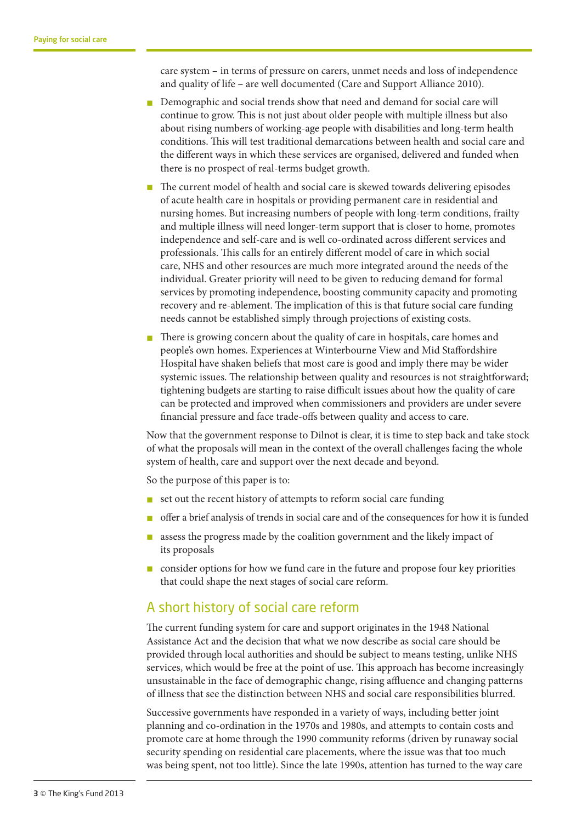care system – in terms of pressure on carers, unmet needs and loss of independence and quality of life – are well documented (Care and Support Alliance 2010).

- Demographic and social trends show that need and demand for social care will continue to grow. This is not just about older people with multiple illness but also about rising numbers of working-age people with disabilities and long-term health conditions. This will test traditional demarcations between health and social care and the different ways in which these services are organised, delivered and funded when there is no prospect of real-terms budget growth.
- The current model of health and social care is skewed towards delivering episodes of acute health care in hospitals or providing permanent care in residential and nursing homes. But increasing numbers of people with long-term conditions, frailty and multiple illness will need longer-term support that is closer to home, promotes independence and self-care and is well co-ordinated across different services and professionals. This calls for an entirely different model of care in which social care, NHS and other resources are much more integrated around the needs of the individual. Greater priority will need to be given to reducing demand for formal services by promoting independence, boosting community capacity and promoting recovery and re-ablement. The implication of this is that future social care funding needs cannot be established simply through projections of existing costs.
- There is growing concern about the quality of care in hospitals, care homes and people's own homes. Experiences at Winterbourne View and Mid Staffordshire Hospital have shaken beliefs that most care is good and imply there may be wider systemic issues. The relationship between quality and resources is not straightforward; tightening budgets are starting to raise difficult issues about how the quality of care can be protected and improved when commissioners and providers are under severe financial pressure and face trade-offs between quality and access to care.

Now that the government response to Dilnot is clear, it is time to step back and take stock of what the proposals will mean in the context of the overall challenges facing the whole system of health, care and support over the next decade and beyond.

So the purpose of this paper is to:

- $\blacksquare$  set out the recent history of attempts to reform social care funding
- n offer a brief analysis of trends in social care and of the consequences for how it is funded
- n assess the progress made by the coalition government and the likely impact of its proposals
- n consider options for how we fund care in the future and propose four key priorities that could shape the next stages of social care reform.

# A short history of social care reform

The current funding system for care and support originates in the 1948 National Assistance Act and the decision that what we now describe as social care should be provided through local authorities and should be subject to means testing, unlike NHS services, which would be free at the point of use. This approach has become increasingly unsustainable in the face of demographic change, rising affluence and changing patterns of illness that see the distinction between NHS and social care responsibilities blurred.

Successive governments have responded in a variety of ways, including better joint planning and co-ordination in the 1970s and 1980s, and attempts to contain costs and promote care at home through the 1990 community reforms (driven by runaway social security spending on residential care placements, where the issue was that too much was being spent, not too little). Since the late 1990s, attention has turned to the way care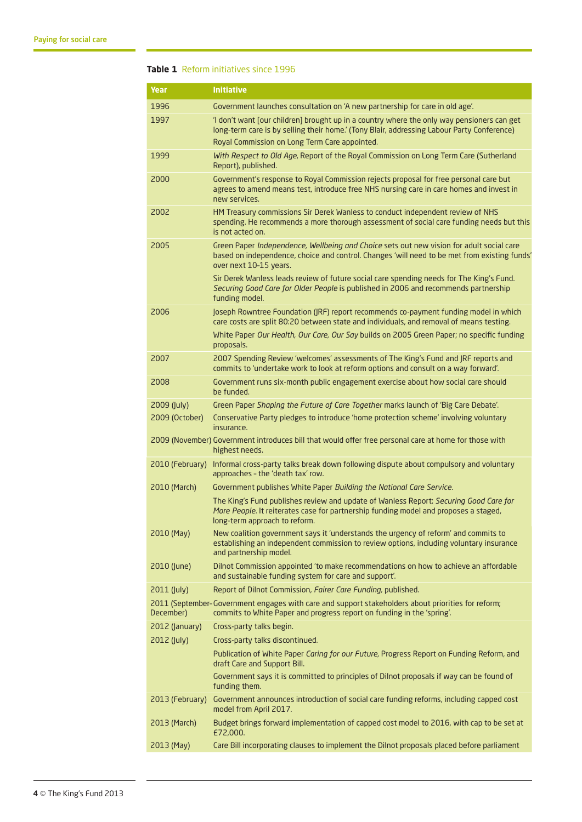#### **Table 1** Reform initiatives since 1996

| Year            | <b>Initiative</b>                                                                                                                                                                                                  |
|-----------------|--------------------------------------------------------------------------------------------------------------------------------------------------------------------------------------------------------------------|
| 1996            | Government launches consultation on 'A new partnership for care in old age'.                                                                                                                                       |
| 1997            | 'I don't want [our children] brought up in a country where the only way pensioners can get<br>long-term care is by selling their home.' (Tony Blair, addressing Labour Party Conference)                           |
|                 | Royal Commission on Long Term Care appointed.                                                                                                                                                                      |
| 1999            | With Respect to Old Age, Report of the Royal Commission on Long Term Care (Sutherland<br>Report), published.                                                                                                       |
| 2000            | Government's response to Royal Commission rejects proposal for free personal care but<br>agrees to amend means test, introduce free NHS nursing care in care homes and invest in<br>new services.                  |
| 2002            | HM Treasury commissions Sir Derek Wanless to conduct independent review of NHS<br>spending. He recommends a more thorough assessment of social care funding needs but this<br>is not acted on.                     |
| 2005            | Green Paper Independence, Wellbeing and Choice sets out new vision for adult social care<br>based on independence, choice and control. Changes 'will need to be met from existing funds'<br>over next 10-15 years. |
|                 | Sir Derek Wanless leads review of future social care spending needs for The King's Fund.<br>Securing Good Care for Older People is published in 2006 and recommends partnership<br>funding model.                  |
| 2006            | Joseph Rowntree Foundation (JRF) report recommends co-payment funding model in which<br>care costs are split 80:20 between state and individuals, and removal of means testing.                                    |
|                 | White Paper Our Health, Our Care, Our Say builds on 2005 Green Paper; no specific funding<br>proposals.                                                                                                            |
| 2007            | 2007 Spending Review 'welcomes' assessments of The King's Fund and JRF reports and<br>commits to 'undertake work to look at reform options and consult on a way forward'.                                          |
| 2008            | Government runs six-month public engagement exercise about how social care should<br>be funded.                                                                                                                    |
| 2009 (July)     | Green Paper Shaping the Future of Care Together marks launch of 'Big Care Debate'.                                                                                                                                 |
| 2009 (October)  | Conservative Party pledges to introduce 'home protection scheme' involving voluntary<br>insurance.                                                                                                                 |
|                 | 2009 (November) Government introduces bill that would offer free personal care at home for those with<br>highest needs.                                                                                            |
| 2010 (February) | Informal cross-party talks break down following dispute about compulsory and voluntary<br>approaches - the 'death tax' row.                                                                                        |
| 2010 (March)    | Government publishes White Paper Building the National Care Service.                                                                                                                                               |
|                 | The King's Fund publishes review and update of Wanless Report: Securing Good Care for<br>More People. It reiterates case for partnership funding model and proposes a staged,<br>long-term approach to reform.     |
| 2010 (May)      | New coalition government says it 'understands the urgency of reform' and commits to<br>establishing an independent commission to review options, including voluntary insurance<br>and partnership model.           |
| 2010 (June)     | Dilnot Commission appointed 'to make recommendations on how to achieve an affordable<br>and sustainable funding system for care and support'.                                                                      |
| 2011 (July)     | Report of Dilnot Commission, Fairer Care Funding, published.                                                                                                                                                       |
| December)       | 2011 (September-Government engages with care and support stakeholders about priorities for reform;<br>commits to White Paper and progress report on funding in the 'spring'.                                       |
| 2012 (January)  | Cross-party talks begin.                                                                                                                                                                                           |
| 2012 (July)     | Cross-party talks discontinued.                                                                                                                                                                                    |
|                 | Publication of White Paper Caring for our Future, Progress Report on Funding Reform, and<br>draft Care and Support Bill.                                                                                           |
|                 | Government says it is committed to principles of Dilnot proposals if way can be found of<br>funding them.                                                                                                          |
| 2013 (February) | Government announces introduction of social care funding reforms, including capped cost<br>model from April 2017.                                                                                                  |
| 2013 (March)    | Budget brings forward implementation of capped cost model to 2016, with cap to be set at<br>£72,000.                                                                                                               |
| 2013 (May)      | Care Bill incorporating clauses to implement the Dilnot proposals placed before parliament                                                                                                                         |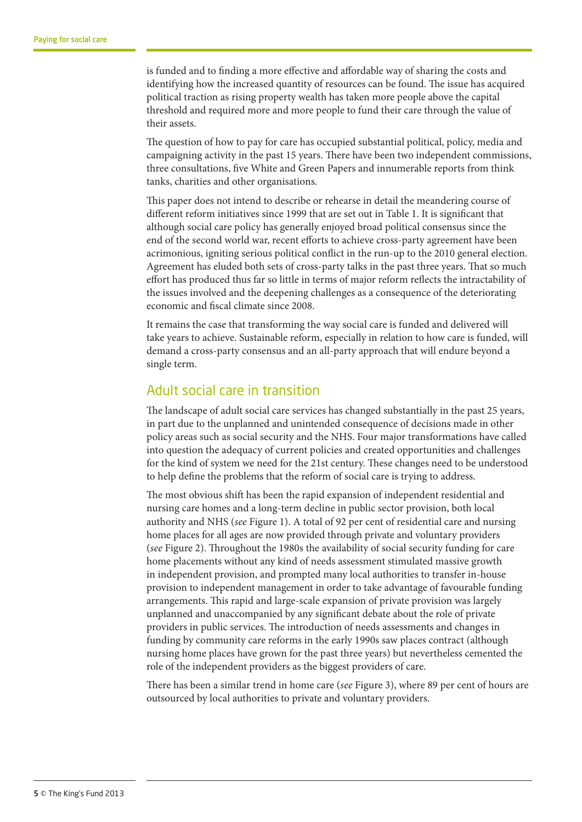is funded and to finding a more effective and affordable way of sharing the costs and identifying how the increased quantity of resources can be found. The issue has acquired political traction as rising property wealth has taken more people above the capital threshold and required more and more people to fund their care through the value of their assets.

The question of how to pay for care has occupied substantial political, policy, media and campaigning activity in the past 15 years. There have been two independent commissions, three consultations, five White and Green Papers and innumerable reports from think tanks, charities and other organisations.

This paper does not intend to describe or rehearse in detail the meandering course of different reform initiatives since 1999 that are set out in Table 1. It is significant that although social care policy has generally enjoyed broad political consensus since the end of the second world war, recent efforts to achieve cross-party agreement have been acrimonious, igniting serious political conflict in the run-up to the 2010 general election. Agreement has eluded both sets of cross-party talks in the past three years. That so much effort has produced thus far so little in terms of major reform reflects the intractability of the issues involved and the deepening challenges as a consequence of the deteriorating economic and fiscal climate since 2008.

It remains the case that transforming the way social care is funded and delivered will take years to achieve. Sustainable reform, especially in relation to how care is funded, will demand a cross-party consensus and an all-party approach that will endure beyond a single term.

# Adult social care in transition

The landscape of adult social care services has changed substantially in the past 25 years, in part due to the unplanned and unintended consequence of decisions made in other policy areas such as social security and the NHS. Four major transformations have called into question the adequacy of current policies and created opportunities and challenges for the kind of system we need for the 21st century. These changes need to be understood to help define the problems that the reform of social care is trying to address.

The most obvious shift has been the rapid expansion of independent residential and nursing care homes and a long-term decline in public sector provision, both local authority and NHS (*see* Figure 1). A total of 92 per cent of residential care and nursing home places for all ages are now provided through private and voluntary providers (*see* Figure 2). Throughout the 1980s the availability of social security funding for care home placements without any kind of needs assessment stimulated massive growth in independent provision, and prompted many local authorities to transfer in-house provision to independent management in order to take advantage of favourable funding arrangements. This rapid and large-scale expansion of private provision was largely unplanned and unaccompanied by any significant debate about the role of private providers in public services. The introduction of needs assessments and changes in funding by community care reforms in the early 1990s saw places contract (although nursing home places have grown for the past three years) but nevertheless cemented the role of the independent providers as the biggest providers of care.

There has been a similar trend in home care (*see* Figure 3), where 89 per cent of hours are outsourced by local authorities to private and voluntary providers.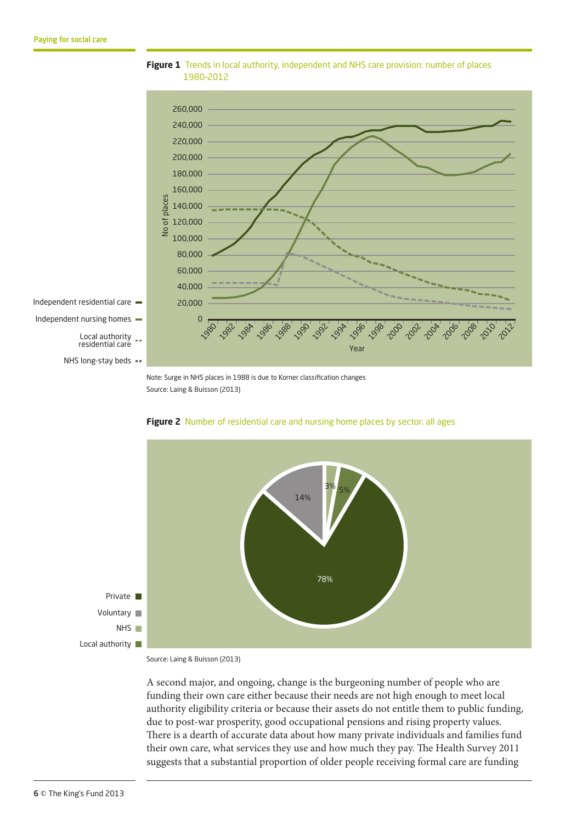

**Figure 1** Trends in local authority, independent and NHS care provision: number of places 1980–2012

Note: Surge in NHS places in 1988 is due to Korner classification changes Source: Laing & Buisson (2013)





Source: Laing & Buisson (2013)

A second major, and ongoing, change is the burgeoning number of people who are funding their own care either because their needs are not high enough to meet local authority eligibility criteria or because their assets do not entitle them to public funding, due to post-war prosperity, good occupational pensions and rising property values. There is a dearth of accurate data about how many private individuals and families fund their own care, what services they use and how much they pay. The Health Survey 2011 suggests that a substantial proportion of older people receiving formal care are funding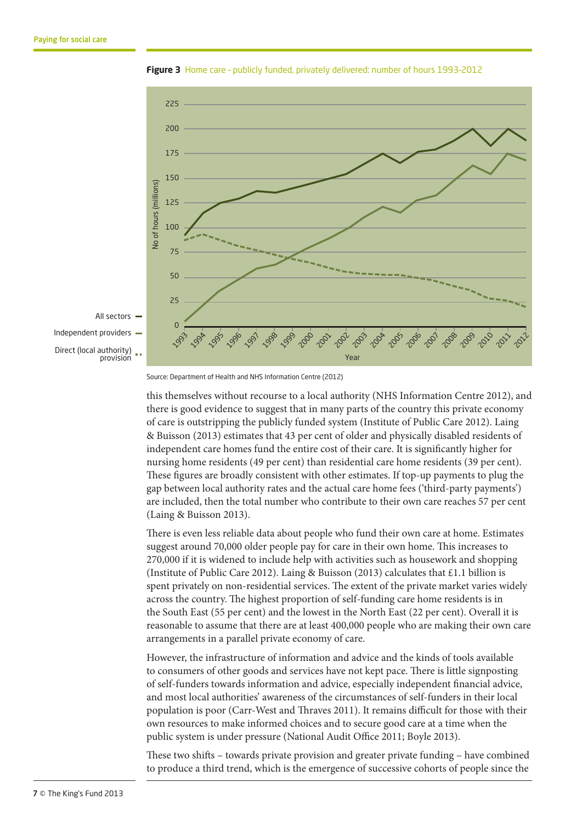

**Figure 3** Home care – publicly funded, privately delivered: number of hours 1993–2012

this themselves without recourse to a local authority (NHS Information Centre 2012), and there is good evidence to suggest that in many parts of the country this private economy of care is outstripping the publicly funded system (Institute of Public Care 2012). Laing & Buisson (2013) estimates that 43 per cent of older and physically disabled residents of independent care homes fund the entire cost of their care. It is significantly higher for nursing home residents (49 per cent) than residential care home residents (39 per cent). These figures are broadly consistent with other estimates. If top-up payments to plug the gap between local authority rates and the actual care home fees ('third-party payments') are included, then the total number who contribute to their own care reaches 57 per cent (Laing & Buisson 2013).

There is even less reliable data about people who fund their own care at home. Estimates suggest around 70,000 older people pay for care in their own home. This increases to 270,000 if it is widened to include help with activities such as housework and shopping (Institute of Public Care 2012). Laing & Buisson (2013) calculates that £1.1 billion is spent privately on non-residential services. The extent of the private market varies widely across the country. The highest proportion of self-funding care home residents is in the South East (55 per cent) and the lowest in the North East (22 per cent). Overall it is reasonable to assume that there are at least 400,000 people who are making their own care arrangements in a parallel private economy of care.

However, the infrastructure of information and advice and the kinds of tools available to consumers of other goods and services have not kept pace. There is little signposting of self-funders towards information and advice, especially independent financial advice, and most local authorities' awareness of the circumstances of self-funders in their local population is poor (Carr-West and Thraves 2011). It remains difficult for those with their own resources to make informed choices and to secure good care at a time when the public system is under pressure (National Audit Office 2011; Boyle 2013).

These two shifts – towards private provision and greater private funding – have combined to produce a third trend, which is the emergence of successive cohorts of people since the

Source: Department of Health and NHS Information Centre (2012)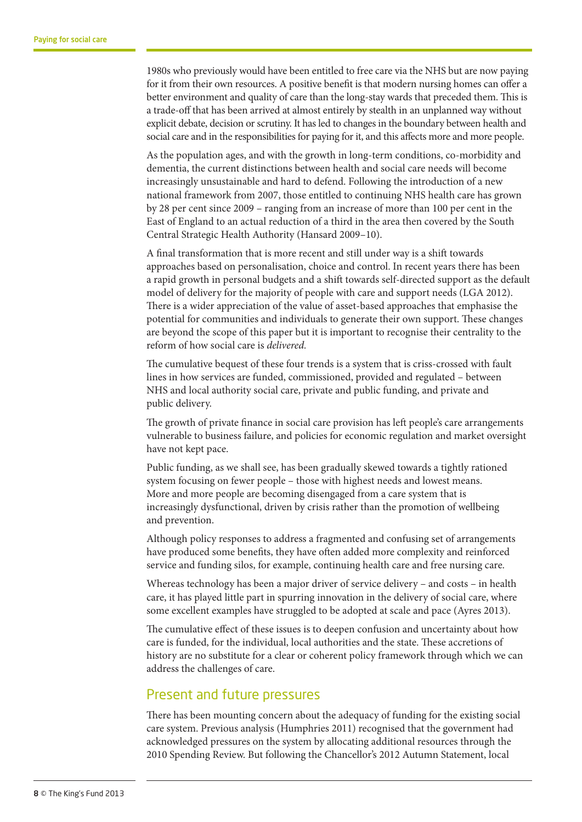1980s who previously would have been entitled to free care via the NHS but are now paying for it from their own resources. A positive benefit is that modern nursing homes can offer a better environment and quality of care than the long-stay wards that preceded them. This is a trade-off that has been arrived at almost entirely by stealth in an unplanned way without explicit debate, decision or scrutiny. It has led to changes in the boundary between health and social care and in the responsibilities for paying for it, and this affects more and more people.

As the population ages, and with the growth in long-term conditions, co-morbidity and dementia, the current distinctions between health and social care needs will become increasingly unsustainable and hard to defend. Following the introduction of a new national framework from 2007, those entitled to continuing NHS health care has grown by 28 per cent since 2009 – ranging from an increase of more than 100 per cent in the East of England to an actual reduction of a third in the area then covered by the South Central Strategic Health Authority (Hansard 2009–10).

A final transformation that is more recent and still under way is a shift towards approaches based on personalisation, choice and control. In recent years there has been a rapid growth in personal budgets and a shift towards self-directed support as the default model of delivery for the majority of people with care and support needs (LGA 2012). There is a wider appreciation of the value of asset-based approaches that emphasise the potential for communities and individuals to generate their own support. These changes are beyond the scope of this paper but it is important to recognise their centrality to the reform of how social care is *delivered.*

The cumulative bequest of these four trends is a system that is criss-crossed with fault lines in how services are funded, commissioned, provided and regulated – between NHS and local authority social care, private and public funding, and private and public delivery.

The growth of private finance in social care provision has left people's care arrangements vulnerable to business failure, and policies for economic regulation and market oversight have not kept pace.

Public funding, as we shall see, has been gradually skewed towards a tightly rationed system focusing on fewer people – those with highest needs and lowest means. More and more people are becoming disengaged from a care system that is increasingly dysfunctional, driven by crisis rather than the promotion of wellbeing and prevention.

Although policy responses to address a fragmented and confusing set of arrangements have produced some benefits, they have often added more complexity and reinforced service and funding silos, for example, continuing health care and free nursing care.

Whereas technology has been a major driver of service delivery – and costs – in health care, it has played little part in spurring innovation in the delivery of social care, where some excellent examples have struggled to be adopted at scale and pace (Ayres 2013).

The cumulative effect of these issues is to deepen confusion and uncertainty about how care is funded, for the individual, local authorities and the state. These accretions of history are no substitute for a clear or coherent policy framework through which we can address the challenges of care.

# Present and future pressures

There has been mounting concern about the adequacy of funding for the existing social care system. Previous analysis (Humphries 2011) recognised that the government had acknowledged pressures on the system by allocating additional resources through the 2010 Spending Review. But following the Chancellor's 2012 Autumn Statement, local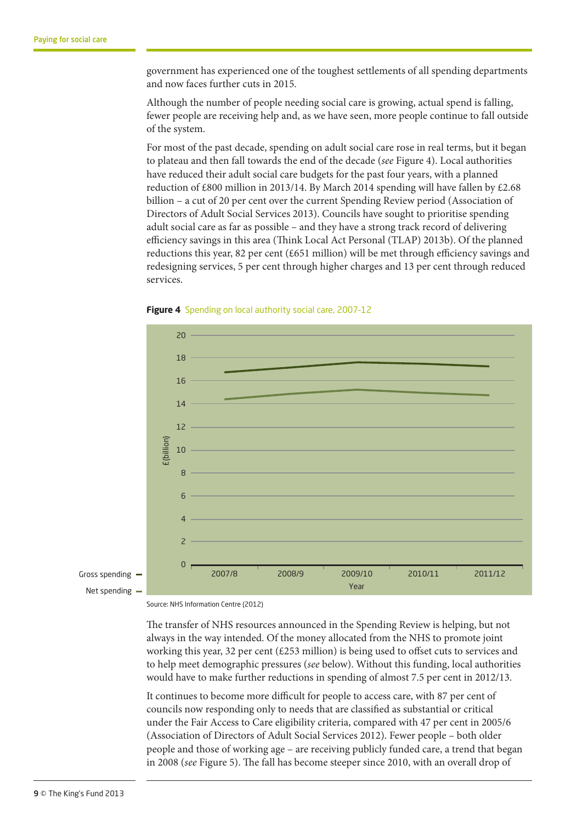government has experienced one of the toughest settlements of all spending departments and now faces further cuts in 2015.

Although the number of people needing social care is growing, actual spend is falling, fewer people are receiving help and, as we have seen, more people continue to fall outside of the system.

For most of the past decade, spending on adult social care rose in real terms, but it began to plateau and then fall towards the end of the decade (*see* Figure 4). Local authorities have reduced their adult social care budgets for the past four years, with a planned reduction of £800 million in 2013/14. By March 2014 spending will have fallen by £2.68 billion – a cut of 20 per cent over the current Spending Review period (Association of Directors of Adult Social Services 2013). Councils have sought to prioritise spending adult social care as far as possible – and they have a strong track record of delivering efficiency savings in this area (Think Local Act Personal (TLAP) 2013b). Of the planned reductions this year, 82 per cent (£651 million) will be met through efficiency savings and redesigning services, 5 per cent through higher charges and 13 per cent through reduced services.



**Figure 4** Spending on local authority social care, 2007–12

Source: NHS Information Centre (2012)

The transfer of NHS resources announced in the Spending Review is helping, but not always in the way intended. Of the money allocated from the NHS to promote joint working this year, 32 per cent (£253 million) is being used to offset cuts to services and to help meet demographic pressures (see below). Without this funding, local authorities would have to make further reductions in spending of almost 7.5 per cent in 2012/13.

It continues to become more difficult for people to access care, with 87 per cent of councils now responding only to needs that are classified as substantial or critical under the Fair Access to Care eligibility criteria, compared with 47 per cent in 2005/6 (Association of Directors of Adult Social Services 2012). Fewer people – both older people and those of working age – are receiving publicly funded care, a trend that began in 2008 (*see* Figure 5). The fall has become steeper since 2010, with an overall drop of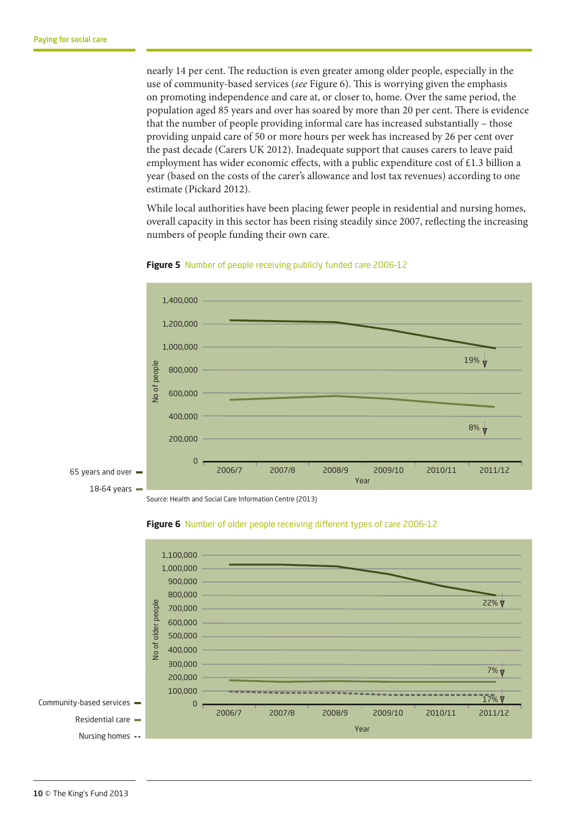nearly 14 per cent. The reduction is even greater among older people, especially in the use of community-based services (*see* Figure 6). This is worrying given the emphasis on promoting independence and care at, or closer to, home. Over the same period, the population aged 85 years and over has soared by more than 20 per cent. There is evidence that the number of people providing informal care has increased substantially – those providing unpaid care of 50 or more hours per week has increased by 26 per cent over the past decade (Carers UK 2012). Inadequate support that causes carers to leave paid employment has wider economic effects, with a public expenditure cost of  $\pounds$ 1.3 billion a year (based on the costs of the carer's allowance and lost tax revenues) according to one estimate (Pickard 2012).

While local authorities have been placing fewer people in residential and nursing homes, overall capacity in this sector has been rising steadily since 2007, reflecting the increasing numbers of people funding their own care.





Source: Health and Social Care Information Centre (2013)



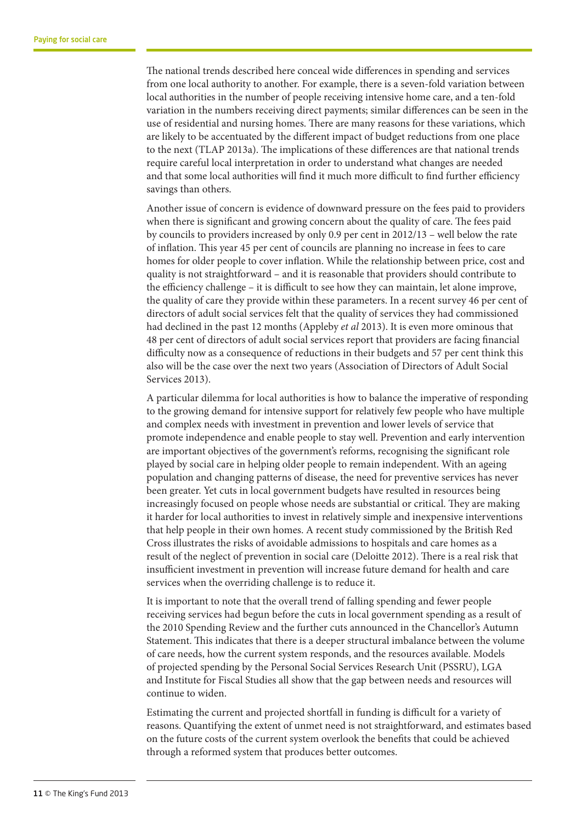The national trends described here conceal wide differences in spending and services from one local authority to another. For example, there is a seven-fold variation between local authorities in the number of people receiving intensive home care, and a ten-fold variation in the numbers receiving direct payments; similar differences can be seen in the use of residential and nursing homes. There are many reasons for these variations, which are likely to be accentuated by the different impact of budget reductions from one place to the next (TLAP 2013a). The implications of these differences are that national trends require careful local interpretation in order to understand what changes are needed and that some local authorities will find it much more difficult to find further efficiency savings than others.

Another issue of concern is evidence of downward pressure on the fees paid to providers when there is significant and growing concern about the quality of care. The fees paid by councils to providers increased by only 0.9 per cent in 2012/13 – well below the rate of inflation. This year 45 per cent of councils are planning no increase in fees to care homes for older people to cover inflation. While the relationship between price, cost and quality is not straightforward – and it is reasonable that providers should contribute to the efficiency challenge – it is difficult to see how they can maintain, let alone improve, the quality of care they provide within these parameters. In a recent survey 46 per cent of directors of adult social services felt that the quality of services they had commissioned had declined in the past 12 months (Appleby *et al* 2013). It is even more ominous that 48 per cent of directors of adult social services report that providers are facing financial difficulty now as a consequence of reductions in their budgets and 57 per cent think this also will be the case over the next two years (Association of Directors of Adult Social Services 2013).

A particular dilemma for local authorities is how to balance the imperative of responding to the growing demand for intensive support for relatively few people who have multiple and complex needs with investment in prevention and lower levels of service that promote independence and enable people to stay well. Prevention and early intervention are important objectives of the government's reforms, recognising the significant role played by social care in helping older people to remain independent. With an ageing population and changing patterns of disease, the need for preventive services has never been greater. Yet cuts in local government budgets have resulted in resources being increasingly focused on people whose needs are substantial or critical. They are making it harder for local authorities to invest in relatively simple and inexpensive interventions that help people in their own homes. A recent study commissioned by the British Red Cross illustrates the risks of avoidable admissions to hospitals and care homes as a result of the neglect of prevention in social care (Deloitte 2012). There is a real risk that insufficient investment in prevention will increase future demand for health and care services when the overriding challenge is to reduce it.

It is important to note that the overall trend of falling spending and fewer people receiving services had begun before the cuts in local government spending as a result of the 2010 Spending Review and the further cuts announced in the Chancellor's Autumn Statement. This indicates that there is a deeper structural imbalance between the volume of care needs, how the current system responds, and the resources available. Models of projected spending by the Personal Social Services Research Unit (PSSRU), LGA and Institute for Fiscal Studies all show that the gap between needs and resources will continue to widen.

Estimating the current and projected shortfall in funding is difficult for a variety of reasons. Quantifying the extent of unmet need is not straightforward, and estimates based on the future costs of the current system overlook the benefits that could be achieved through a reformed system that produces better outcomes.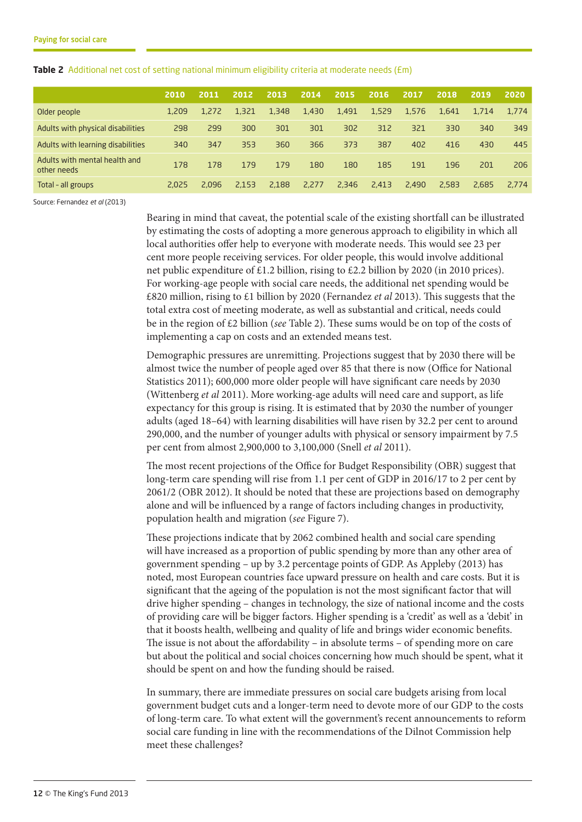|                                              | 2010  | 2011  | 2012  | 2013  | 2014  | 2015  | 2016  | 2017  | 2018  | 2019  | 2020  |
|----------------------------------------------|-------|-------|-------|-------|-------|-------|-------|-------|-------|-------|-------|
| Older people                                 | 1,209 | 1,272 | 1,321 | 1,348 | 1,430 | 1,491 | 1,529 | 1,576 | 1,641 | 1,714 | 1,774 |
| Adults with physical disabilities            | 298   | 299   | 300   | 301   | 301   | 302   | 312   | 321   | 330   | 340   | 349   |
| Adults with learning disabilities            | 340   | 347   | 353   | 360   | 366   | 373   | 387   | 402   | 416   | 430   | 445   |
| Adults with mental health and<br>other needs | 178   | 178   | 179   | 179   | 180   | 180   | 185   | 191   | 196   | 201   | 206   |
| Total - all groups                           | 2,025 | 2,096 | 2.153 | 2,188 | 2,277 | 2,346 | 2,413 | 2,490 | 2,583 | 2,685 | 2,774 |

#### **Table 2** Additional net cost of setting national minimum eligibility criteria at moderate needs (£m)

Source: Fernandez *et al* (2013)

Bearing in mind that caveat, the potential scale of the existing shortfall can be illustrated by estimating the costs of adopting a more generous approach to eligibility in which all local authorities offer help to everyone with moderate needs. This would see 23 per cent more people receiving services. For older people, this would involve additional net public expenditure of £1.2 billion, rising to £2.2 billion by 2020 (in 2010 prices). For working-age people with social care needs, the additional net spending would be £820 million, rising to £1 billion by 2020 (Fernandez *et al* 2013). This suggests that the total extra cost of meeting moderate, as well as substantial and critical, needs could be in the region of £2 billion (*see* Table 2). These sums would be on top of the costs of implementing a cap on costs and an extended means test.

Demographic pressures are unremitting. Projections suggest that by 2030 there will be almost twice the number of people aged over 85 that there is now (Office for National Statistics 2011); 600,000 more older people will have significant care needs by 2030 (Wittenberg *et al* 2011). More working-age adults will need care and support, as life expectancy for this group is rising. It is estimated that by 2030 the number of younger adults (aged 18–64) with learning disabilities will have risen by 32.2 per cent to around 290,000, and the number of younger adults with physical or sensory impairment by 7.5 per cent from almost 2,900,000 to 3,100,000 (Snell *et al* 2011).

The most recent projections of the Office for Budget Responsibility (OBR) suggest that long-term care spending will rise from 1.1 per cent of GDP in 2016/17 to 2 per cent by 2061/2 (OBR 2012). It should be noted that these are projections based on demography alone and will be influenced by a range of factors including changes in productivity, population health and migration (*see* Figure 7).

These projections indicate that by 2062 combined health and social care spending will have increased as a proportion of public spending by more than any other area of government spending – up by 3.2 percentage points of GDP. As Appleby (2013) has noted, most European countries face upward pressure on health and care costs. But it is significant that the ageing of the population is not the most significant factor that will drive higher spending – changes in technology, the size of national income and the costs of providing care will be bigger factors. Higher spending is a 'credit' as well as a 'debit' in that it boosts health, wellbeing and quality of life and brings wider economic benefits. The issue is not about the affordability – in absolute terms – of spending more on care but about the political and social choices concerning how much should be spent, what it should be spent on and how the funding should be raised.

In summary, there are immediate pressures on social care budgets arising from local government budget cuts and a longer-term need to devote more of our GDP to the costs of long-term care. To what extent will the government's recent announcements to reform social care funding in line with the recommendations of the Dilnot Commission help meet these challenges?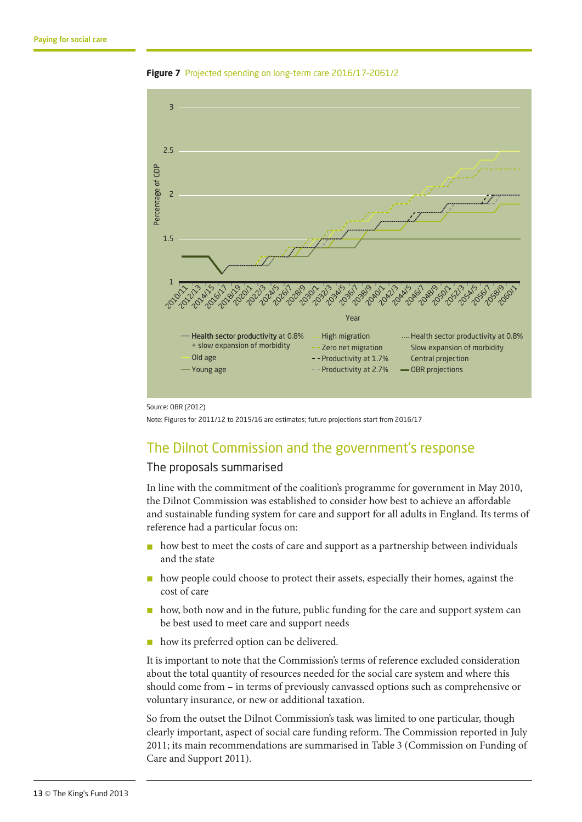

**Figure 7** Projected spending on long-term care 2016/17–2061/2

Source: OBR (2012)

Note: Figures for 2011/12 to 2015/16 are estimates; future projections start from 2016/17

#### The Dilnot Commission and the government's response

#### The proposals summarised

In line with the commitment of the coalition's programme for government in May 2010, the Dilnot Commission was established to consider how best to achieve an affordable and sustainable funding system for care and support for all adults in England. Its terms of reference had a particular focus on:

- n how best to meet the costs of care and support as a partnership between individuals and the state
- n how people could choose to protect their assets, especially their homes, against the cost of care
- $\blacksquare$  how, both now and in the future, public funding for the care and support system can be best used to meet care and support needs
- n how its preferred option can be delivered.

It is important to note that the Commission's terms of reference excluded consideration about the total quantity of resources needed for the social care system and where this should come from – in terms of previously canvassed options such as comprehensive or voluntary insurance, or new or additional taxation.

So from the outset the Dilnot Commission's task was limited to one particular, though clearly important, aspect of social care funding reform. The Commission reported in July 2011; its main recommendations are summarised in Table 3 (Commission on Funding of Care and Support 2011).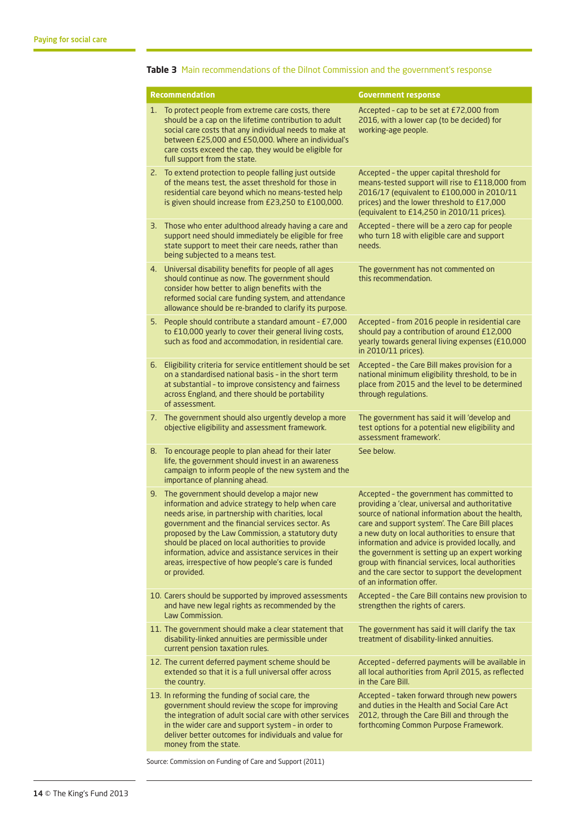|    | <b>Recommendation</b>                                                                                                                                                                                                                                                                                                                                                                                                                         | <b>Government response</b>                                                                                                                                                                                                                                                                                                                                                                                                                                                                   |
|----|-----------------------------------------------------------------------------------------------------------------------------------------------------------------------------------------------------------------------------------------------------------------------------------------------------------------------------------------------------------------------------------------------------------------------------------------------|----------------------------------------------------------------------------------------------------------------------------------------------------------------------------------------------------------------------------------------------------------------------------------------------------------------------------------------------------------------------------------------------------------------------------------------------------------------------------------------------|
| 1. | To protect people from extreme care costs, there<br>should be a cap on the lifetime contribution to adult<br>social care costs that any individual needs to make at<br>between £25,000 and £50,000. Where an individual's<br>care costs exceed the cap, they would be eligible for<br>full support from the state.                                                                                                                            | Accepted - cap to be set at £72,000 from<br>2016, with a lower cap (to be decided) for<br>working-age people.                                                                                                                                                                                                                                                                                                                                                                                |
| 2. | To extend protection to people falling just outside<br>of the means test, the asset threshold for those in<br>residential care beyond which no means-tested help<br>is given should increase from £23,250 to £100,000.                                                                                                                                                                                                                        | Accepted - the upper capital threshold for<br>means-tested support will rise to £118,000 from<br>2016/17 (equivalent to £100,000 in 2010/11<br>prices) and the lower threshold to £17,000<br>(equivalent to £14,250 in 2010/11 prices).                                                                                                                                                                                                                                                      |
| З. | Those who enter adulthood already having a care and<br>support need should immediately be eligible for free<br>state support to meet their care needs, rather than<br>being subjected to a means test.                                                                                                                                                                                                                                        | Accepted - there will be a zero cap for people<br>who turn 18 with eligible care and support<br>needs.                                                                                                                                                                                                                                                                                                                                                                                       |
| 4. | Universal disability benefits for people of all ages<br>should continue as now. The government should<br>consider how better to align benefits with the<br>reformed social care funding system, and attendance<br>allowance should be re-branded to clarify its purpose.                                                                                                                                                                      | The government has not commented on<br>this recommendation.                                                                                                                                                                                                                                                                                                                                                                                                                                  |
| 5. | People should contribute a standard amount - £7,000<br>to £10,000 yearly to cover their general living costs,<br>such as food and accommodation, in residential care.                                                                                                                                                                                                                                                                         | Accepted - from 2016 people in residential care<br>should pay a contribution of around £12,000<br>yearly towards general living expenses (£10,000<br>in 2010/11 prices).                                                                                                                                                                                                                                                                                                                     |
| 6. | Eligibility criteria for service entitlement should be set<br>on a standardised national basis - in the short term<br>at substantial - to improve consistency and fairness<br>across England, and there should be portability<br>of assessment.                                                                                                                                                                                               | Accepted - the Care Bill makes provision for a<br>national minimum eligibility threshold, to be in<br>place from 2015 and the level to be determined<br>through regulations.                                                                                                                                                                                                                                                                                                                 |
|    | 7. The government should also urgently develop a more<br>objective eligibility and assessment framework.                                                                                                                                                                                                                                                                                                                                      | The government has said it will 'develop and<br>test options for a potential new eligibility and<br>assessment framework'.                                                                                                                                                                                                                                                                                                                                                                   |
| 8. | To encourage people to plan ahead for their later<br>life, the government should invest in an awareness<br>campaign to inform people of the new system and the<br>importance of planning ahead.                                                                                                                                                                                                                                               | See below.                                                                                                                                                                                                                                                                                                                                                                                                                                                                                   |
| 9. | The government should develop a major new<br>information and advice strategy to help when care<br>needs arise, in partnership with charities, local<br>government and the financial services sector. As<br>proposed by the Law Commission, a statutory duty<br>should be placed on local authorities to provide<br>information, advice and assistance services in their<br>areas, irrespective of how people's care is funded<br>or provided. | Accepted - the government has committed to<br>providing a 'clear, universal and authoritative<br>source of national information about the health,<br>care and support system'. The Care Bill places<br>a new duty on local authorities to ensure that<br>information and advice is provided locally, and<br>the government is setting up an expert working<br>group with financial services, local authorities<br>and the care sector to support the development<br>of an information offer. |
|    | 10. Carers should be supported by improved assessments<br>and have new legal rights as recommended by the<br>Law Commission.                                                                                                                                                                                                                                                                                                                  | Accepted - the Care Bill contains new provision to<br>strengthen the rights of carers.                                                                                                                                                                                                                                                                                                                                                                                                       |
|    | 11. The government should make a clear statement that<br>disability-linked annuities are permissible under<br>current pension taxation rules.                                                                                                                                                                                                                                                                                                 | The government has said it will clarify the tax<br>treatment of disability-linked annuities.                                                                                                                                                                                                                                                                                                                                                                                                 |
|    | 12. The current deferred payment scheme should be<br>extended so that it is a full universal offer across<br>the country.                                                                                                                                                                                                                                                                                                                     | Accepted - deferred payments will be available in<br>all local authorities from April 2015, as reflected<br>in the Care Bill.                                                                                                                                                                                                                                                                                                                                                                |
|    | 13. In reforming the funding of social care, the<br>government should review the scope for improving<br>the integration of adult social care with other services<br>in the wider care and support system - in order to<br>deliver better outcomes for individuals and value for<br>money from the state.                                                                                                                                      | Accepted - taken forward through new powers<br>and duties in the Health and Social Care Act<br>2012, through the Care Bill and through the<br>forthcoming Common Purpose Framework.                                                                                                                                                                                                                                                                                                          |

#### **Table 3** Main recommendations of the Dilnot Commission and the government's response

Source: Commission on Funding of Care and Support (2011)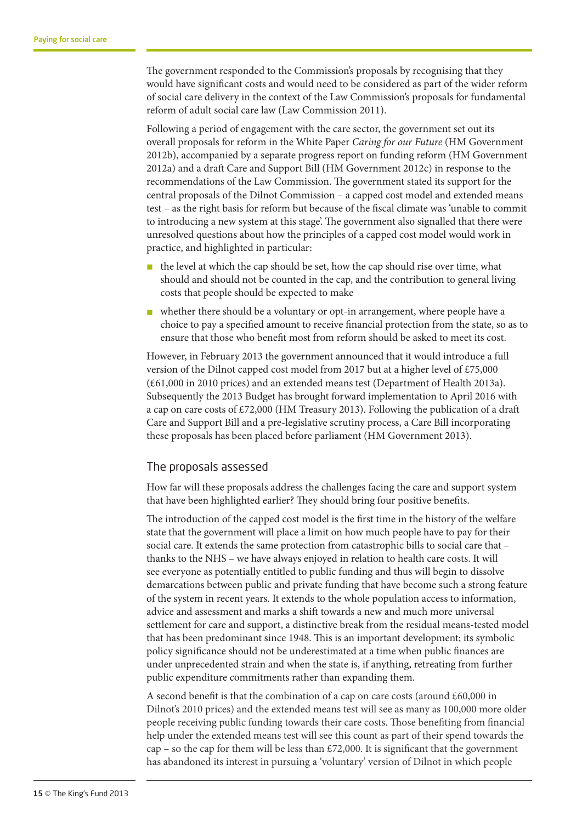The government responded to the Commission's proposals by recognising that they would have significant costs and would need to be considered as part of the wider reform of social care delivery in the context of the Law Commission's proposals for fundamental reform of adult social care law (Law Commission 2011).

Following a period of engagement with the care sector, the government set out its overall proposals for reform in the White Paper *Caring for our Future* (HM Government 2012b), accompanied by a separate progress report on funding reform (HM Government 2012a) and a draft Care and Support Bill (HM Government 2012c) in response to the recommendations of the Law Commission. The government stated its support for the central proposals of the Dilnot Commission – a capped cost model and extended means test – as the right basis for reform but because of the fiscal climate was 'unable to commit to introducing a new system at this stage'. The government also signalled that there were unresolved questions about how the principles of a capped cost model would work in practice, and highlighted in particular:

- $\blacksquare$  the level at which the cap should be set, how the cap should rise over time, what should and should not be counted in the cap, and the contribution to general living costs that people should be expected to make
- n whether there should be a voluntary or opt-in arrangement, where people have a choice to pay a specified amount to receive financial protection from the state, so as to ensure that those who benefit most from reform should be asked to meet its cost.

However, in February 2013 the government announced that it would introduce a full version of the Dilnot capped cost model from 2017 but at a higher level of £75,000 (£61,000 in 2010 prices) and an extended means test (Department of Health 2013a). Subsequently the 2013 Budget has brought forward implementation to April 2016 with a cap on care costs of  $\text{\pounds}72,000$  (HM Treasury 2013). Following the publication of a draft Care and Support Bill and a pre-legislative scrutiny process, a Care Bill incorporating these proposals has been placed before parliament (HM Government 2013).

#### The proposals assessed

How far will these proposals address the challenges facing the care and support system that have been highlighted earlier? They should bring four positive benefits.

The introduction of the capped cost model is the first time in the history of the welfare state that the government will place a limit on how much people have to pay for their social care. It extends the same protection from catastrophic bills to social care that – thanks to the NHS – we have always enjoyed in relation to health care costs. It will see everyone as potentially entitled to public funding and thus will begin to dissolve demarcations between public and private funding that have become such a strong feature of the system in recent years. It extends to the whole population access to information, advice and assessment and marks a shift towards a new and much more universal settlement for care and support, a distinctive break from the residual means-tested model that has been predominant since 1948. This is an important development; its symbolic policy significance should not be underestimated at a time when public finances are under unprecedented strain and when the state is, if anything, retreating from further public expenditure commitments rather than expanding them.

A second benefit is that the combination of a cap on care costs (around  $\text{\pounds}60,000$  in Dilnot's 2010 prices) and the extended means test will see as many as 100,000 more older people receiving public funding towards their care costs. Those benefiting from financial help under the extended means test will see this count as part of their spend towards the cap – so the cap for them will be less than  $£72,000$ . It is significant that the government has abandoned its interest in pursuing a 'voluntary' version of Dilnot in which people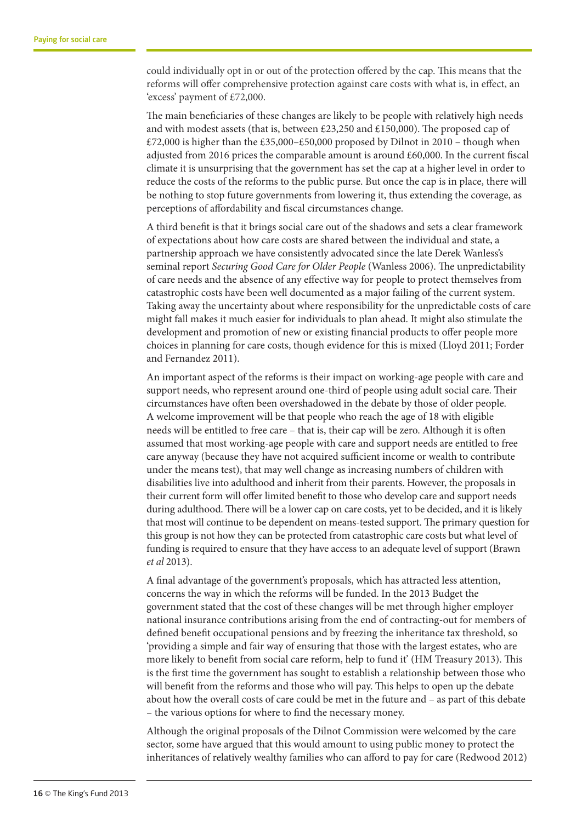could individually opt in or out of the protection offered by the cap. This means that the reforms will offer comprehensive protection against care costs with what is, in effect, an 'excess' payment of £72,000.

The main beneficiaries of these changes are likely to be people with relatively high needs and with modest assets (that is, between £23,250 and £150,000). The proposed cap of £72,000 is higher than the £35,000–£50,000 proposed by Dilnot in 2010 – though when adjusted from 2016 prices the comparable amount is around £60,000. In the current fiscal climate it is unsurprising that the government has set the cap at a higher level in order to reduce the costs of the reforms to the public purse. But once the cap is in place, there will be nothing to stop future governments from lowering it, thus extending the coverage, as perceptions of affordability and fiscal circumstances change.

A third benefit is that it brings social care out of the shadows and sets a clear framework of expectations about how care costs are shared between the individual and state, a partnership approach we have consistently advocated since the late Derek Wanless's seminal report *Securing Good Care for Older People* (Wanless 2006). The unpredictability of care needs and the absence of any effective way for people to protect themselves from catastrophic costs have been well documented as a major failing of the current system. Taking away the uncertainty about where responsibility for the unpredictable costs of care might fall makes it much easier for individuals to plan ahead. It might also stimulate the development and promotion of new or existing financial products to offer people more choices in planning for care costs, though evidence for this is mixed (Lloyd 2011; Forder and Fernandez 2011).

An important aspect of the reforms is their impact on working-age people with care and support needs, who represent around one-third of people using adult social care. Their circumstances have often been overshadowed in the debate by those of older people. A welcome improvement will be that people who reach the age of 18 with eligible needs will be entitled to free care – that is, their cap will be zero. Although it is often assumed that most working-age people with care and support needs are entitled to free care anyway (because they have not acquired sufficient income or wealth to contribute under the means test), that may well change as increasing numbers of children with disabilities live into adulthood and inherit from their parents. However, the proposals in their current form will offer limited benefit to those who develop care and support needs during adulthood. There will be a lower cap on care costs, yet to be decided, and it is likely that most will continue to be dependent on means-tested support. The primary question for this group is not how they can be protected from catastrophic care costs but what level of funding is required to ensure that they have access to an adequate level of support (Brawn *et al* 2013).

A final advantage of the government's proposals, which has attracted less attention, concerns the way in which the reforms will be funded. In the 2013 Budget the government stated that the cost of these changes will be met through higher employer national insurance contributions arising from the end of contracting-out for members of defined benefit occupational pensions and by freezing the inheritance tax threshold, so 'providing a simple and fair way of ensuring that those with the largest estates, who are more likely to benefit from social care reform, help to fund it' (HM Treasury 2013). This is the first time the government has sought to establish a relationship between those who will benefit from the reforms and those who will pay. This helps to open up the debate about how the overall costs of care could be met in the future and – as part of this debate – the various options for where to find the necessary money.

Although the original proposals of the Dilnot Commission were welcomed by the care sector, some have argued that this would amount to using public money to protect the inheritances of relatively wealthy families who can afford to pay for care (Redwood 2012)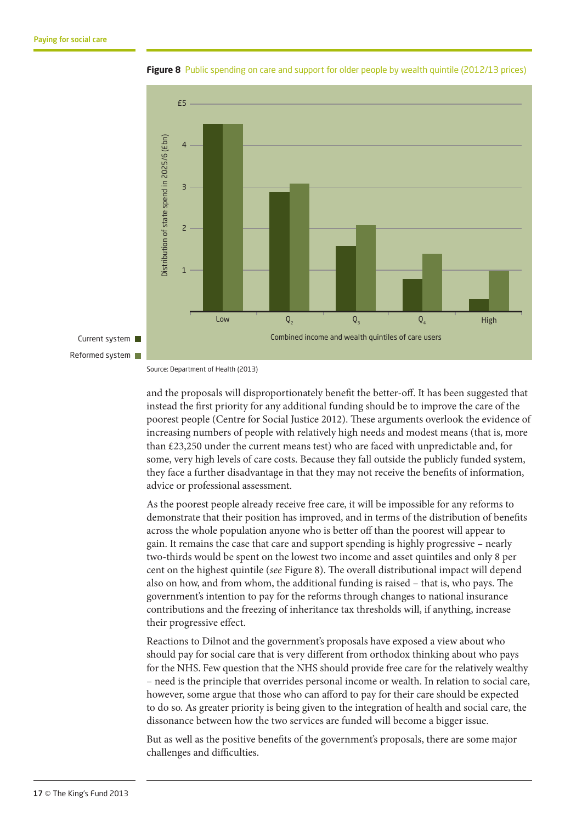



and the proposals will disproportionately benefit the better-off. It has been suggested that instead the first priority for any additional funding should be to improve the care of the poorest people (Centre for Social Justice 2012). These arguments overlook the evidence of increasing numbers of people with relatively high needs and modest means (that is, more than £23,250 under the current means test) who are faced with unpredictable and, for some, very high levels of care costs. Because they fall outside the publicly funded system, they face a further disadvantage in that they may not receive the benefits of information, advice or professional assessment.

As the poorest people already receive free care, it will be impossible for any reforms to demonstrate that their position has improved, and in terms of the distribution of benefits across the whole population anyone who is better off than the poorest will appear to gain. It remains the case that care and support spending is highly progressive – nearly two-thirds would be spent on the lowest two income and asset quintiles and only 8 per cent on the highest quintile (*see* Figure 8). The overall distributional impact will depend also on how, and from whom, the additional funding is raised – that is, who pays. The government's intention to pay for the reforms through changes to national insurance contributions and the freezing of inheritance tax thresholds will, if anything, increase their progressive effect.

Reactions to Dilnot and the government's proposals have exposed a view about who should pay for social care that is very different from orthodox thinking about who pays for the NHS. Few question that the NHS should provide free care for the relatively wealthy – need is the principle that overrides personal income or wealth. In relation to social care, however, some argue that those who can afford to pay for their care should be expected to do so. As greater priority is being given to the integration of health and social care, the dissonance between how the two services are funded will become a bigger issue.

But as well as the positive benefits of the government's proposals, there are some major challenges and difficulties.

Source: Department of Health (2013)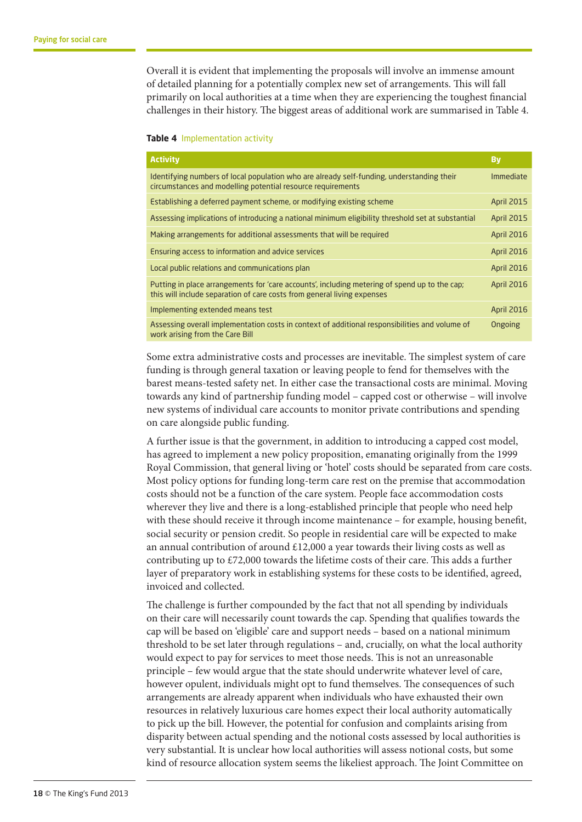Overall it is evident that implementing the proposals will involve an immense amount of detailed planning for a potentially complex new set of arrangements. This will fall primarily on local authorities at a time when they are experiencing the toughest financial challenges in their history. The biggest areas of additional work are summarised in Table 4.

#### **Table 4** Implementation activity

| <b>Activity</b>                                                                                                                                                          | <b>By</b>         |
|--------------------------------------------------------------------------------------------------------------------------------------------------------------------------|-------------------|
| Identifying numbers of local population who are already self-funding, understanding their<br>circumstances and modelling potential resource requirements                 | Immediate         |
| Establishing a deferred payment scheme, or modifying existing scheme                                                                                                     | <b>April 2015</b> |
| Assessing implications of introducing a national minimum eligibility threshold set at substantial                                                                        | <b>April 2015</b> |
| Making arrangements for additional assessments that will be required                                                                                                     | <b>April 2016</b> |
| Ensuring access to information and advice services                                                                                                                       | <b>April 2016</b> |
| Local public relations and communications plan                                                                                                                           | <b>April 2016</b> |
| Putting in place arrangements for 'care accounts', including metering of spend up to the cap;<br>this will include separation of care costs from general living expenses | <b>April 2016</b> |
| Implementing extended means test                                                                                                                                         | <b>April 2016</b> |
| Assessing overall implementation costs in context of additional responsibilities and volume of<br>work arising from the Care Bill                                        | Ongoing           |

Some extra administrative costs and processes are inevitable. The simplest system of care funding is through general taxation or leaving people to fend for themselves with the barest means-tested safety net. In either case the transactional costs are minimal. Moving towards any kind of partnership funding model – capped cost or otherwise – will involve new systems of individual care accounts to monitor private contributions and spending on care alongside public funding.

A further issue is that the government, in addition to introducing a capped cost model, has agreed to implement a new policy proposition, emanating originally from the 1999 Royal Commission, that general living or 'hotel' costs should be separated from care costs. Most policy options for funding long-term care rest on the premise that accommodation costs should not be a function of the care system. People face accommodation costs wherever they live and there is a long-established principle that people who need help with these should receive it through income maintenance – for example, housing benefit, social security or pension credit. So people in residential care will be expected to make an annual contribution of around  $£12,000$  a year towards their living costs as well as contributing up to £72,000 towards the lifetime costs of their care. This adds a further layer of preparatory work in establishing systems for these costs to be identified, agreed, invoiced and collected.

The challenge is further compounded by the fact that not all spending by individuals on their care will necessarily count towards the cap. Spending that qualifies towards the cap will be based on 'eligible' care and support needs – based on a national minimum threshold to be set later through regulations – and, crucially, on what the local authority would expect to pay for services to meet those needs. This is not an unreasonable principle – few would argue that the state should underwrite whatever level of care, however opulent, individuals might opt to fund themselves. The consequences of such arrangements are already apparent when individuals who have exhausted their own resources in relatively luxurious care homes expect their local authority automatically to pick up the bill. However, the potential for confusion and complaints arising from disparity between actual spending and the notional costs assessed by local authorities is very substantial. It is unclear how local authorities will assess notional costs, but some kind of resource allocation system seems the likeliest approach. The Joint Committee on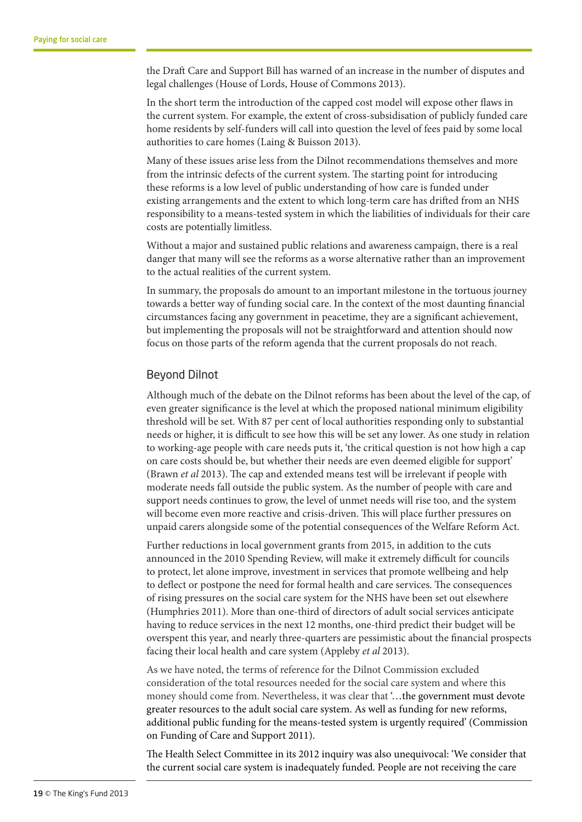the Draft Care and Support Bill has warned of an increase in the number of disputes and legal challenges (House of Lords, House of Commons 2013).

In the short term the introduction of the capped cost model will expose other flaws in the current system. For example, the extent of cross-subsidisation of publicly funded care home residents by self-funders will call into question the level of fees paid by some local authorities to care homes (Laing & Buisson 2013).

Many of these issues arise less from the Dilnot recommendations themselves and more from the intrinsic defects of the current system. The starting point for introducing these reforms is a low level of public understanding of how care is funded under existing arrangements and the extent to which long-term care has drifted from an NHS responsibility to a means-tested system in which the liabilities of individuals for their care costs are potentially limitless.

Without a major and sustained public relations and awareness campaign, there is a real danger that many will see the reforms as a worse alternative rather than an improvement to the actual realities of the current system.

In summary, the proposals do amount to an important milestone in the tortuous journey towards a better way of funding social care. In the context of the most daunting financial circumstances facing any government in peacetime, they are a significant achievement, but implementing the proposals will not be straightforward and attention should now focus on those parts of the reform agenda that the current proposals do not reach.

#### Beyond Dilnot

Although much of the debate on the Dilnot reforms has been about the level of the cap, of even greater significance is the level at which the proposed national minimum eligibility threshold will be set. With 87 per cent of local authorities responding only to substantial needs or higher, it is difficult to see how this will be set any lower. As one study in relation to working-age people with care needs puts it, 'the critical question is not how high a cap on care costs should be, but whether their needs are even deemed eligible for support' (Brawn *et al* 2013). The cap and extended means test will be irrelevant if people with moderate needs fall outside the public system. As the number of people with care and support needs continues to grow, the level of unmet needs will rise too, and the system will become even more reactive and crisis-driven. This will place further pressures on unpaid carers alongside some of the potential consequences of the Welfare Reform Act.

Further reductions in local government grants from 2015, in addition to the cuts announced in the 2010 Spending Review, will make it extremely difficult for councils to protect, let alone improve, investment in services that promote wellbeing and help to deflect or postpone the need for formal health and care services. The consequences of rising pressures on the social care system for the NHS have been set out elsewhere (Humphries 2011). More than one-third of directors of adult social services anticipate having to reduce services in the next 12 months, one-third predict their budget will be overspent this year, and nearly three-quarters are pessimistic about the financial prospects facing their local health and care system (Appleby *et al* 2013).

As we have noted, the terms of reference for the Dilnot Commission excluded consideration of the total resources needed for the social care system and where this money should come from. Nevertheless, it was clear that '…the government must devote greater resources to the adult social care system. As well as funding for new reforms, additional public funding for the means-tested system is urgently required' (Commission on Funding of Care and Support 2011).

The Health Select Committee in its 2012 inquiry was also unequivocal: 'We consider that the current social care system is inadequately funded. People are not receiving the care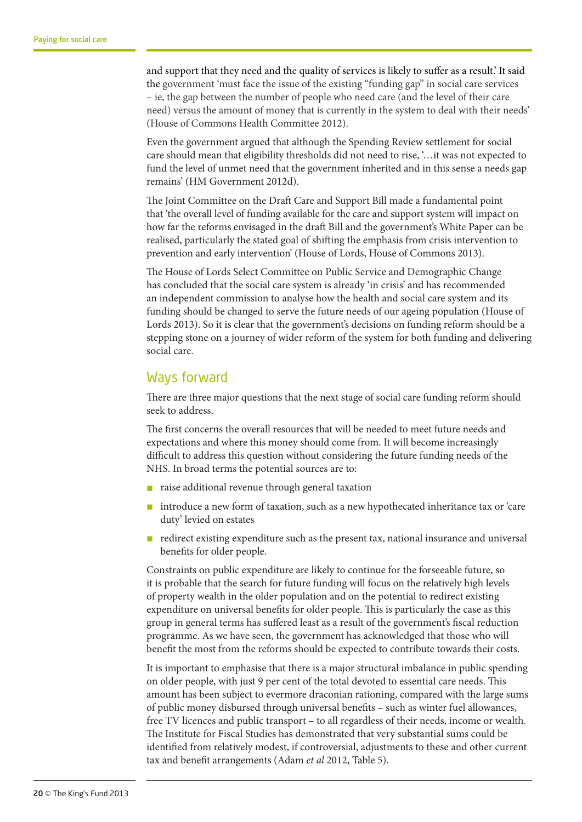and support that they need and the quality of services is likely to suffer as a result.' It said the government 'must face the issue of the existing "funding gap" in social care services – ie, the gap between the number of people who need care (and the level of their care need) versus the amount of money that is currently in the system to deal with their needs' (House of Commons Health Committee 2012).

Even the government argued that although the Spending Review settlement for social care should mean that eligibility thresholds did not need to rise, '…it was not expected to fund the level of unmet need that the government inherited and in this sense a needs gap remains' (HM Government 2012d).

The Joint Committee on the Draft Care and Support Bill made a fundamental point that 'the overall level of funding available for the care and support system will impact on how far the reforms envisaged in the draft Bill and the government's White Paper can be realised, particularly the stated goal of shifting the emphasis from crisis intervention to prevention and early intervention' (House of Lords, House of Commons 2013).

The House of Lords Select Committee on Public Service and Demographic Change has concluded that the social care system is already 'in crisis' and has recommended an independent commission to analyse how the health and social care system and its funding should be changed to serve the future needs of our ageing population (House of Lords 2013). So it is clear that the government's decisions on funding reform should be a stepping stone on a journey of wider reform of the system for both funding and delivering social care.

#### Ways forward

There are three major questions that the next stage of social care funding reform should seek to address.

The first concerns the overall resources that will be needed to meet future needs and expectations and where this money should come from. It will become increasingly difficult to address this question without considering the future funding needs of the NHS. In broad terms the potential sources are to:

- raise additional revenue through general taxation
- introduce a new form of taxation, such as a new hypothecated inheritance tax or 'care duty' levied on estates
- n redirect existing expenditure such as the present tax, national insurance and universal benefits for older people.

Constraints on public expenditure are likely to continue for the forseeable future, so it is probable that the search for future funding will focus on the relatively high levels of property wealth in the older population and on the potential to redirect existing expenditure on universal benefits for older people. This is particularly the case as this group in general terms has suffered least as a result of the government's fiscal reduction programme. As we have seen, the government has acknowledged that those who will benefit the most from the reforms should be expected to contribute towards their costs.

It is important to emphasise that there is a major structural imbalance in public spending on older people, with just 9 per cent of the total devoted to essential care needs. This amount has been subject to evermore draconian rationing, compared with the large sums of public money disbursed through universal benefits – such as winter fuel allowances, free TV licences and public transport – to all regardless of their needs, income or wealth. The Institute for Fiscal Studies has demonstrated that very substantial sums could be identified from relatively modest, if controversial, adjustments to these and other current tax and benefit arrangements (Adam *et al* 2012, Table 5).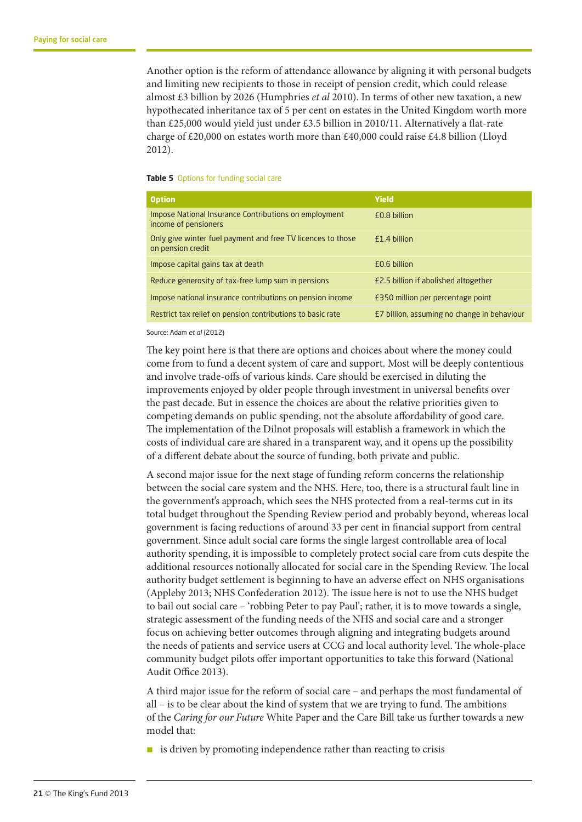Another option is the reform of attendance allowance by aligning it with personal budgets and limiting new recipients to those in receipt of pension credit, which could release almost £3 billion by 2026 (Humphries *et al* 2010). In terms of other new taxation, a new hypothecated inheritance tax of 5 per cent on estates in the United Kingdom worth more than £25,000 would yield just under £3.5 billion in 2010/11. Alternatively a flat-rate charge of £20,000 on estates worth more than £40,000 could raise £4.8 billion (Lloyd 2012).

#### **Table 5** Options for funding social care

| <b>Option</b>                                                                    | Yield                                       |
|----------------------------------------------------------------------------------|---------------------------------------------|
| Impose National Insurance Contributions on employment<br>income of pensioners    | £0.8 billion                                |
| Only give winter fuel payment and free TV licences to those<br>on pension credit | F <sub>1.4</sub> hillion                    |
| Impose capital gains tax at death                                                | £0.6 billion                                |
| Reduce generosity of tax-free lump sum in pensions                               | £2.5 billion if abolished altogether        |
| Impose national insurance contributions on pension income                        | £350 million per percentage point           |
| Restrict tax relief on pension contributions to basic rate                       | E7 billion, assuming no change in behaviour |

Source: Adam *et al* (2012)

The key point here is that there are options and choices about where the money could come from to fund a decent system of care and support. Most will be deeply contentious and involve trade-offs of various kinds. Care should be exercised in diluting the improvements enjoyed by older people through investment in universal benefits over the past decade. But in essence the choices are about the relative priorities given to competing demands on public spending, not the absolute affordability of good care. The implementation of the Dilnot proposals will establish a framework in which the costs of individual care are shared in a transparent way, and it opens up the possibility of a different debate about the source of funding, both private and public.

A second major issue for the next stage of funding reform concerns the relationship between the social care system and the NHS. Here, too, there is a structural fault line in the government's approach, which sees the NHS protected from a real-terms cut in its total budget throughout the Spending Review period and probably beyond, whereas local government is facing reductions of around 33 per cent in financial support from central government. Since adult social care forms the single largest controllable area of local authority spending, it is impossible to completely protect social care from cuts despite the additional resources notionally allocated for social care in the Spending Review. The local authority budget settlement is beginning to have an adverse effect on NHS organisations (Appleby 2013; NHS Confederation 2012). The issue here is not to use the NHS budget to bail out social care – 'robbing Peter to pay Paul'; rather, it is to move towards a single, strategic assessment of the funding needs of the NHS and social care and a stronger focus on achieving better outcomes through aligning and integrating budgets around the needs of patients and service users at CCG and local authority level. The whole-place community budget pilots offer important opportunities to take this forward (National Audit Office 2013).

A third major issue for the reform of social care – and perhaps the most fundamental of all – is to be clear about the kind of system that we are trying to fund. The ambitions of the *Caring for our Future* White Paper and the Care Bill take us further towards a new model that:

 $\blacksquare$  is driven by promoting independence rather than reacting to crisis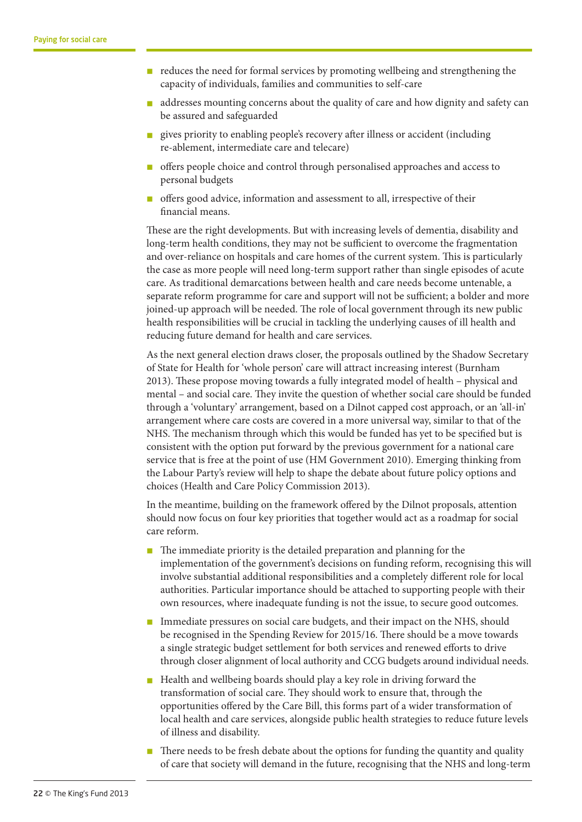- $\blacksquare$  reduces the need for formal services by promoting wellbeing and strengthening the capacity of individuals, families and communities to self-care
- n addresses mounting concerns about the quality of care and how dignity and safety can be assured and safeguarded
- n gives priority to enabling people's recovery after illness or accident (including re-ablement, intermediate care and telecare)
- n offers people choice and control through personalised approaches and access to personal budgets
- n offers good advice, information and assessment to all, irrespective of their financial means.

These are the right developments. But with increasing levels of dementia, disability and long-term health conditions, they may not be sufficient to overcome the fragmentation and over-reliance on hospitals and care homes of the current system. This is particularly the case as more people will need long-term support rather than single episodes of acute care. As traditional demarcations between health and care needs become untenable, a separate reform programme for care and support will not be sufficient; a bolder and more joined-up approach will be needed. The role of local government through its new public health responsibilities will be crucial in tackling the underlying causes of ill health and reducing future demand for health and care services.

As the next general election draws closer, the proposals outlined by the Shadow Secretary of State for Health for 'whole person' care will attract increasing interest (Burnham 2013). These propose moving towards a fully integrated model of health – physical and mental – and social care. They invite the question of whether social care should be funded through a 'voluntary' arrangement, based on a Dilnot capped cost approach, or an 'all-in' arrangement where care costs are covered in a more universal way, similar to that of the NHS. The mechanism through which this would be funded has yet to be specified but is consistent with the option put forward by the previous government for a national care service that is free at the point of use (HM Government 2010). Emerging thinking from the Labour Party's review will help to shape the debate about future policy options and choices (Health and Care Policy Commission 2013).

In the meantime, building on the framework offered by the Dilnot proposals, attention should now focus on four key priorities that together would act as a roadmap for social care reform.

- $\blacksquare$  The immediate priority is the detailed preparation and planning for the implementation of the government's decisions on funding reform, recognising this will involve substantial additional responsibilities and a completely different role for local authorities. Particular importance should be attached to supporting people with their own resources, where inadequate funding is not the issue, to secure good outcomes.
- n Immediate pressures on social care budgets, and their impact on the NHS, should be recognised in the Spending Review for 2015/16. There should be a move towards a single strategic budget settlement for both services and renewed efforts to drive through closer alignment of local authority and CCG budgets around individual needs.
- $\blacksquare$  Health and wellbeing boards should play a key role in driving forward the transformation of social care. They should work to ensure that, through the opportunities offered by the Care Bill, this forms part of a wider transformation of local health and care services, alongside public health strategies to reduce future levels of illness and disability.
- n There needs to be fresh debate about the options for funding the quantity and quality of care that society will demand in the future, recognising that the NHS and long-term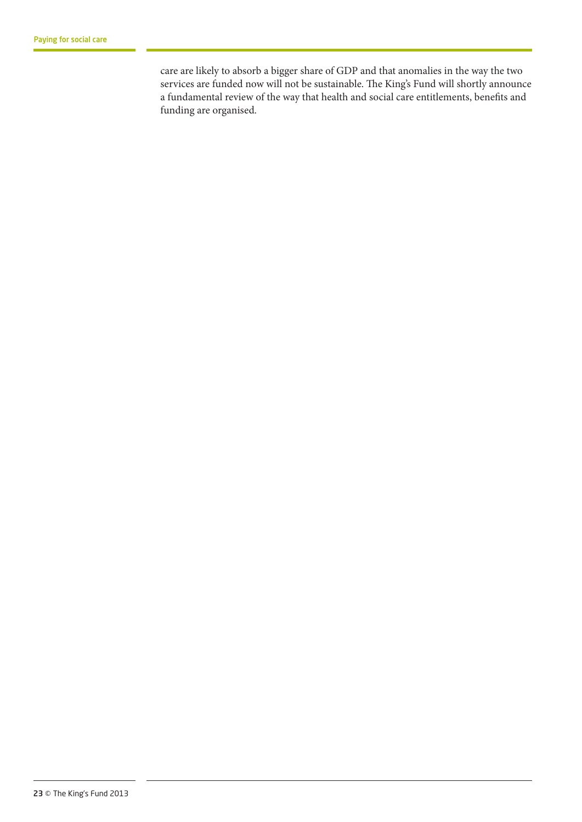care are likely to absorb a bigger share of GDP and that anomalies in the way the two services are funded now will not be sustainable. The King's Fund will shortly announce a fundamental review of the way that health and social care entitlements, benefits and funding are organised.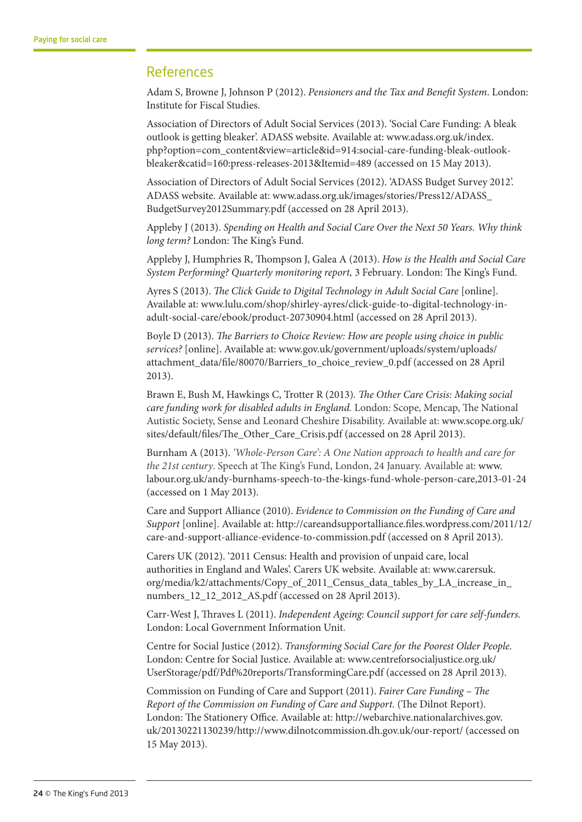# References

Adam S, Browne J, Johnson P (2012). *Pensioners and the Tax and Benefit System*. London: Institute for Fiscal Studies.

Association of Directors of Adult Social Services (2013). 'Social Care Funding: A bleak outlook is getting bleaker'. ADASS website. Available at: www.adass.org.uk/index. php?option=com\_content&view=article&id=914:social-care-funding-bleak-outlookbleaker&catid=160:press-releases-2013&Itemid=489 (accessed on 15 May 2013).

Association of Directors of Adult Social Services (2012). 'ADASS Budget Survey 2012'. ADASS website. Available at: www.adass.org.uk/images/stories/Press12/ADASS\_ BudgetSurvey2012Summary.pdf (accessed on 28 April 2013).

Appleby J (2013). *Spending on Health and Social Care Over the Next 50 Years. Why think long term?* London: The King's Fund.

Appleby J, Humphries R, Thompson J, Galea A (2013). *How is the Health and Social Care System Performing? Quarterly monitoring report,* 3 February*.* London: The King's Fund.

Ayres S (2013). *The Click Guide to Digital Technology in Adult Social Care* [online]. Available at: www.lulu.com/shop/shirley-ayres/click-guide-to-digital-technology-inadult-social-care/ebook/product-20730904.html (accessed on 28 April 2013).

Boyle D (2013). *The Barriers to Choice Review: How are people using choice in public services?* [online]. Available at: www.gov.uk/government/uploads/system/uploads/ attachment\_data/file/80070/Barriers\_to\_choice\_review\_0.pdf (accessed on 28 April 2013).

Brawn E, Bush M, Hawkings C, Trotter R (2013)*. The Other Care Crisis: Making social care funding work for disabled adults in England.* London: Scope, Mencap, The National Autistic Society, Sense and Leonard Cheshire Disability. Available at: www.scope.org.uk/ sites/default/files/The\_Other\_Care\_Crisis.pdf (accessed on 28 April 2013).

Burnham A (2013). *'Whole-Person Care': A One Nation approach to health and care for the 21st century*. Speech at The King's Fund, London, 24 January. Available at: www. labour.org.uk/andy-burnhams-speech-to-the-kings-fund-whole-person-care,2013-01-24 (accessed on 1 May 2013).

Care and Support Alliance (2010). *Evidence to Commission on the Funding of Care and Support* [online]. Available at: http://careandsupportalliance.files.wordpress.com/2011/12/ care-and-support-alliance-evidence-to-commission.pdf (accessed on 8 April 2013).

Carers UK (2012). '2011 Census: Health and provision of unpaid care, local authorities in England and Wales'. Carers UK website. Available at: www.carersuk. org/media/k2/attachments/Copy\_of\_2011\_Census\_data\_tables\_by\_LA\_increase\_in\_ numbers 12 12 2012 AS.pdf (accessed on 28 April 2013).

Carr-West J, Thraves L (2011). *Independent Ageing: Council support for care self-funders.*  London: Local Government Information Unit.

Centre for Social Justice (2012). *Transforming Social Care for the Poorest Older People.* London: Centre for Social Justice. Available at: www.centreforsocialjustice.org.uk/ UserStorage/pdf/Pdf%20reports/TransformingCare.pdf (accessed on 28 April 2013).

Commission on Funding of Care and Support (2011). *Fairer Care Funding – The Report of the Commission on Funding of Care and Support.* (The Dilnot Report). London: The Stationery Office. Available at: http://webarchive.nationalarchives.gov. uk/20130221130239/http://www.dilnotcommission.dh.gov.uk/our-report/ (accessed on 15 May 2013).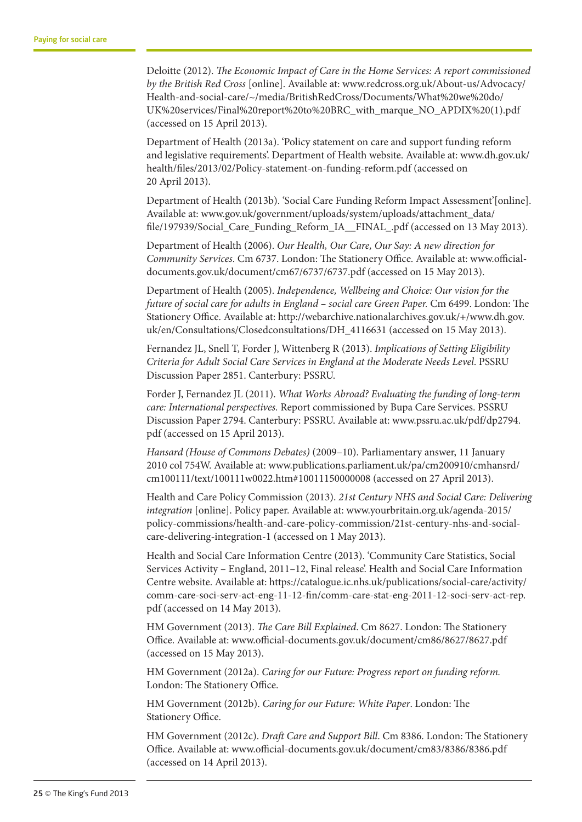Deloitte (2012). *The Economic Impact of Care in the Home Services: A report commissioned by the British Red Cross* [online]. Available at: www.redcross.org.uk/About-us/Advocacy/ Health-and-social-care/~/media/BritishRedCross/Documents/What%20we%20do/ UK%20services/Final%20report%20to%20BRC\_with\_marque\_NO\_APDIX%20(1).pdf (accessed on 15 April 2013).

Department of Health (2013a). 'Policy statement on care and support funding reform and legislative requirements'. Department of Health website. Available at: www.dh.gov.uk/ health/files/2013/02/Policy-statement-on-funding-reform.pdf (accessed on 20 April 2013).

Department of Health (2013b). 'Social Care Funding Reform Impact Assessment'[online]. Available at: www.gov.uk/government/uploads/system/uploads/attachment\_data/ file/197939/Social\_Care\_Funding\_Reform\_IA\_\_FINAL\_.pdf (accessed on 13 May 2013).

Department of Health (2006). *Our Health, Our Care, Our Say: A new direction for Community Services*. Cm 6737. London: The Stationery Office. Available at: www.officialdocuments.gov.uk/document/cm67/6737/6737.pdf (accessed on 15 May 2013).

Department of Health (2005). *Independence, Wellbeing and Choice: Our vision for the future of social care for adults in England – social care Green Paper.* Cm 6499. London: The Stationery Office. Available at: http://webarchive.nationalarchives.gov.uk/+/www.dh.gov. uk/en/Consultations/Closedconsultations/DH\_4116631 (accessed on 15 May 2013).

Fernandez JL, Snell T, Forder J, Wittenberg R (2013). *Implications of Setting Eligibility Criteria for Adult Social Care Services in England at the Moderate Needs Level*. PSSRU Discussion Paper 2851. Canterbury: PSSRU.

Forder J, Fernandez JL (2011). *What Works Abroad? Evaluating the funding of long-term care: International perspectives.* Report commissioned by Bupa Care Services. PSSRU Discussion Paper 2794. Canterbury: PSSRU. Available at: www.pssru.ac.uk/pdf/dp2794. pdf (accessed on 15 April 2013).

*Hansard (House of Commons Debates)* (2009–10). Parliamentary answer, 11 January 2010 col 754W. Available at: www.publications.parliament.uk/pa/cm200910/cmhansrd/ cm100111/text/100111w0022.htm#10011150000008 (accessed on 27 April 2013).

Health and Care Policy Commission (2013). *21st Century NHS and Social Care: Delivering integration* [online]. Policy paper. Available at: www.yourbritain.org.uk/agenda-2015/ policy-commissions/health-and-care-policy-commission/21st-century-nhs-and-socialcare-delivering-integration-1 (accessed on 1 May 2013).

Health and Social Care Information Centre (2013). 'Community Care Statistics, Social Services Activity – England, 2011–12, Final release'. Health and Social Care Information Centre website. Available at: https://catalogue.ic.nhs.uk/publications/social-care/activity/ comm-care-soci-serv-act-eng-11-12-fin/comm-care-stat-eng-2011-12-soci-serv-act-rep. pdf (accessed on 14 May 2013).

HM Government (2013). *The Care Bill Explained*. Cm 8627. London: The Stationery Office. Available at: www.official-documents.gov.uk/document/cm86/8627/8627.pdf (accessed on 15 May 2013).

HM Government (2012a). *Caring for our Future: Progress report on funding reform.* London: The Stationery Office.

HM Government (2012b). *Caring for our Future: White Paper*. London: The Stationery Office.

HM Government (2012c). *Draft Care and Support Bill*. Cm 8386. London: The Stationery Office. Available at: www.official-documents.gov.uk/document/cm83/8386/8386.pdf (accessed on 14 April 2013).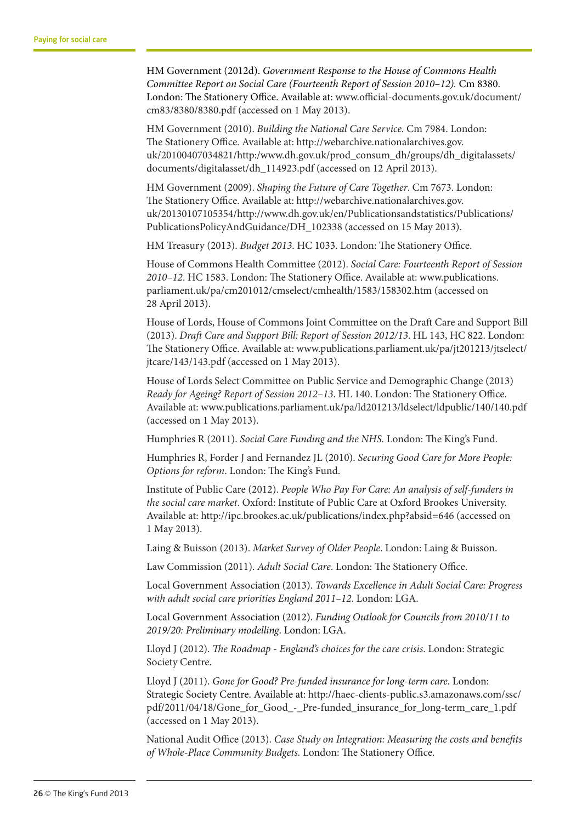HM Government (2012d). *Government Response to the House of Commons Health Committee Report on Social Care (Fourteenth Report of Session 2010–12).* Cm 8380. London: The Stationery Office. Available at: www.official-documents.gov.uk/document/ cm83/8380/8380.pdf (accessed on 1 May 2013).

HM Government (2010). *Building the National Care Service.* Cm 7984. London: The Stationery Office. Available at: http://webarchive.nationalarchives.gov. uk/20100407034821/http:/www.dh.gov.uk/prod\_consum\_dh/groups/dh\_digitalassets/ documents/digitalasset/dh\_114923.pdf (accessed on 12 April 2013).

HM Government (2009). *Shaping the Future of Care Together*. Cm 7673. London: The Stationery Office. Available at: http://webarchive.nationalarchives.gov. uk/20130107105354/http://www.dh.gov.uk/en/Publicationsandstatistics/Publications/ PublicationsPolicyAndGuidance/DH\_102338 (accessed on 15 May 2013).

HM Treasury (2013). *Budget 2013*. HC 1033. London: The Stationery Office.

House of Commons Health Committee (2012). *Social Care: Fourteenth Report of Session 2010–12*. HC 1583. London: The Stationery Office. Available at: www.publications. parliament.uk/pa/cm201012/cmselect/cmhealth/1583/158302.htm (accessed on 28 April 2013).

House of Lords, House of Commons Joint Committee on the Draft Care and Support Bill (2013). *Draft Care and Support Bill: Report of Session 2012/13*. HL 143, HC 822. London: The Stationery Office. Available at: www.publications.parliament.uk/pa/jt201213/jtselect/ jtcare/143/143.pdf (accessed on 1 May 2013).

House of Lords Select Committee on Public Service and Demographic Change (2013) *Ready for Ageing? Report of Session 2012–13*. HL 140. London: The Stationery Office. Available at: www.publications.parliament.uk/pa/ld201213/ldselect/ldpublic/140/140.pdf (accessed on 1 May 2013).

Humphries R (2011). *Social Care Funding and the NHS.* London: The King's Fund.

Humphries R, Forder J and Fernandez JL (2010). *Securing Good Care for More People: Options for reform*. London: The King's Fund.

Institute of Public Care (2012). *People Who Pay For Care: An analysis of self-funders in the social care market*. Oxford: Institute of Public Care at Oxford Brookes University. Available at: http://ipc.brookes.ac.uk/publications/index.php?absid=646 (accessed on 1 May 2013).

Laing & Buisson (2013). *Market Survey of Older People*. London: Laing & Buisson.

Law Commission (2011). *Adult Social Care*. London: The Stationery Office.

Local Government Association (2013). *Towards Excellence in Adult Social Care: Progress with adult social care priorities England 2011–12*. London: LGA.

Local Government Association (2012). *Funding Outlook for Councils from 2010/11 to 2019/20: Preliminary modelling*. London: LGA.

Lloyd J (2012). *The Roadmap - England's choices for the care crisis*. London: Strategic Society Centre.

Lloyd J (2011). *Gone for Good? Pre-funded insurance for long-term care*. London: Strategic Society Centre. Available at: http://haec-clients-public.s3.amazonaws.com/ssc/ pdf/2011/04/18/Gone\_for\_Good\_-\_Pre-funded\_insurance\_for\_long-term\_care\_1.pdf (accessed on 1 May 2013).

National Audit Office (2013). *Case Study on Integration: Measuring the costs and benefits of Whole-Place Community Budgets.* London: The Stationery Office.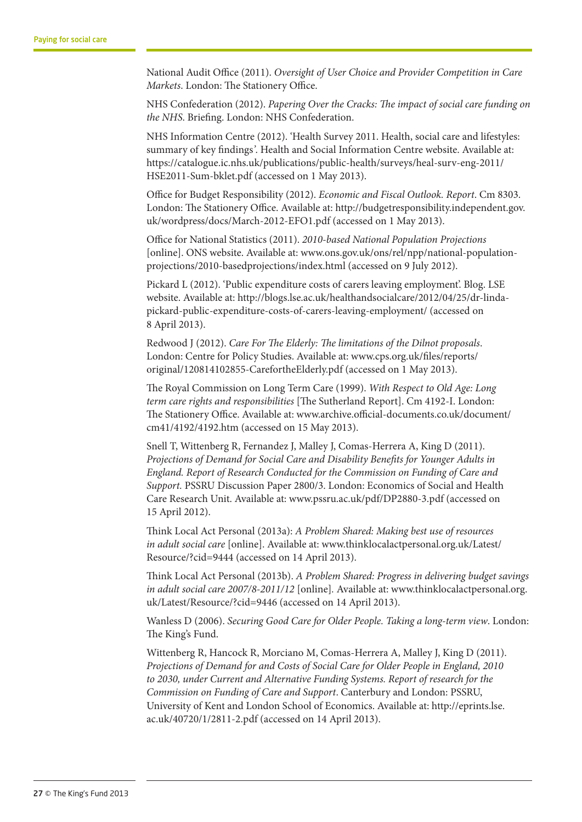National Audit Office (2011). *Oversight of User Choice and Provider Competition in Care Markets*. London: The Stationery Office.

NHS Confederation (2012). *Papering Over the Cracks: The impact of social care funding on the NHS*. Briefing. London: NHS Confederation.

NHS Information Centre (2012). 'Health Survey 2011. Health, social care and lifestyles: summary of key findings*'*. Health and Social Information Centre website. Available at: https://catalogue.ic.nhs.uk/publications/public-health/surveys/heal-surv-eng-2011/ HSE2011-Sum-bklet.pdf (accessed on 1 May 2013).

Office for Budget Responsibility (2012). *Economic and Fiscal Outlook. Report*. Cm 8303. London: The Stationery Office. Available at: http://budgetresponsibility.independent.gov. uk/wordpress/docs/March-2012-EFO1.pdf (accessed on 1 May 2013).

Office for National Statistics (2011). *2010-based National Population Projections* [online]. ONS website. Available at: www.ons.gov.uk/ons/rel/npp/national-populationprojections/2010-basedprojections/index.html (accessed on 9 July 2012).

Pickard L (2012). 'Public expenditure costs of carers leaving employment'. Blog. LSE website. Available at: http://blogs.lse.ac.uk/healthandsocialcare/2012/04/25/dr-lindapickard-public-expenditure-costs-of-carers-leaving-employment/ (accessed on 8 April 2013).

Redwood J (2012). *Care For The Elderly: The limitations of the Dilnot proposals*. London: Centre for Policy Studies. Available at: www.cps.org.uk/files/reports/ original/120814102855-CarefortheElderly.pdf (accessed on 1 May 2013).

The Royal Commission on Long Term Care (1999). *With Respect to Old Age: Long term care rights and responsibilities* [The Sutherland Report]. Cm 4192-I. London: The Stationery Office. Available at: www.archive.official-documents.co.uk/document/ cm41/4192/4192.htm (accessed on 15 May 2013).

Snell T, Wittenberg R, Fernandez J, Malley J, Comas-Herrera A, King D (2011). *Projections of Demand for Social Care and Disability Benefits for Younger Adults in England. Report of Research Conducted for the Commission on Funding of Care and Support.* PSSRU Discussion Paper 2800/3. London: Economics of Social and Health Care Research Unit. Available at: www.pssru.ac.uk/pdf/DP2880-3.pdf (accessed on 15 April 2012).

Think Local Act Personal (2013a): *A Problem Shared: Making best use of resources in adult social care* [online]. Available at: www.thinklocalactpersonal.org.uk/Latest/ Resource/?cid=9444 (accessed on 14 April 2013).

Think Local Act Personal (2013b). *A Problem Shared: Progress in delivering budget savings in adult social care 2007/8-2011/12* [online]*.* Available at: www.thinklocalactpersonal.org. uk/Latest/Resource/?cid=9446 (accessed on 14 April 2013).

Wanless D (2006). *Securing Good Care for Older People. Taking a long-term view*. London: The King's Fund.

Wittenberg R, Hancock R, Morciano M, Comas-Herrera A, Malley J, King D (2011). *Projections of Demand for and Costs of Social Care for Older People in England, 2010 to 2030, under Current and Alternative Funding Systems. Report of research for the Commission on Funding of Care and Support*. Canterbury and London: PSSRU, University of Kent and London School of Economics. Available at: http://eprints.lse. ac.uk/40720/1/2811-2.pdf (accessed on 14 April 2013).